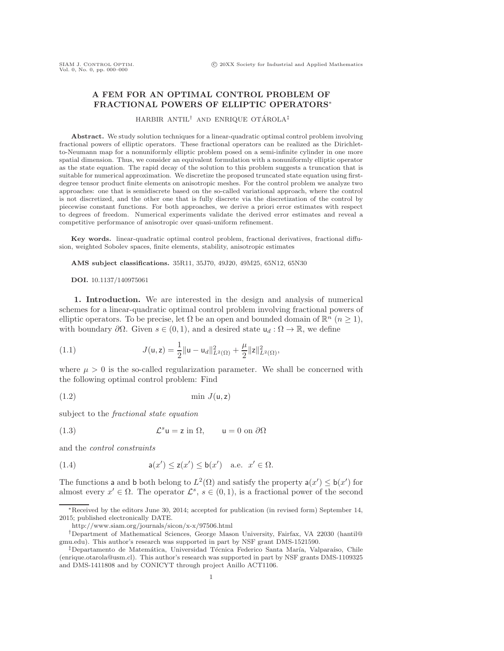# **A FEM FOR AN OPTIMAL CONTROL PROBLEM OF FRACTIONAL POWERS OF ELLIPTIC OPERATORS**∗

HARBIR ANTIL<sup>†</sup> AND ENRIQUE OTÁROLA<sup>‡</sup>

**Abstract.** We study solution techniques for a linear-quadratic optimal control problem involving fractional powers of elliptic operators. These fractional operators can be realized as the Dirichletto-Neumann map for a nonuniformly elliptic problem posed on a semi-infinite cylinder in one more spatial dimension. Thus, we consider an equivalent formulation with a nonuniformly elliptic operator as the state equation. The rapid decay of the solution to this problem suggests a truncation that is suitable for numerical approximation. We discretize the proposed truncated state equation using firstdegree tensor product finite elements on anisotropic meshes. For the control problem we analyze two approaches: one that is semidiscrete based on the so-called variational approach, where the control is not discretized, and the other one that is fully discrete via the discretization of the control by piecewise constant functions. For both approaches, we derive a priori error estimates with respect to degrees of freedom. Numerical experiments validate the derived error estimates and reveal a competitive performance of anisotropic over quasi-uniform refinement.

**Key words.** linear-quadratic optimal control problem, fractional derivatives, fractional diffusion, weighted Sobolev spaces, finite elements, stability, anisotropic estimates

**AMS subject classifications.** 35R11, 35J70, 49J20, 49M25, 65N12, 65N30

<span id="page-0-4"></span>**DOI.** 10.1137/140975061

<span id="page-0-3"></span>**1. Introduction.** We are interested in the design and analysis of numerical schemes for a linear-quadratic optimal control problem involving fractional powers of elliptic operators. To be precise, let  $\Omega$  be an open and bounded domain of  $\mathbb{R}^n$   $(n \geq 1)$ , with boundary  $\partial\Omega$ . Given  $s \in (0,1)$ , and a desired state  $u_d : \Omega \to \mathbb{R}$ , we define

(1.1) 
$$
J(\mathsf{u},\mathsf{z}) = \frac{1}{2} ||\mathsf{u} - \mathsf{u}_d||_{L^2(\Omega)}^2 + \frac{\mu}{2} ||\mathsf{z}||_{L^2(\Omega)}^2,
$$

where  $\mu > 0$  is the so-called regularization parameter. We shall be concerned with the following optimal control problem: Find

<span id="page-0-0"></span>
$$
\min\,J(\mathsf{u},\mathsf{z})
$$

<span id="page-0-2"></span>subject to the *fractional state equation*

(1.3) 
$$
\mathcal{L}^s u = z \text{ in } \Omega, \qquad u = 0 \text{ on } \partial \Omega
$$

<span id="page-0-1"></span>and the *control constraints*

(1.4) 
$$
\mathsf{a}(x') \leq \mathsf{z}(x') \leq \mathsf{b}(x') \quad \text{a.e.} \quad x' \in \Omega.
$$

The functions a and b both belong to  $L^2(\Omega)$  and satisfy the property  $a(x') \leq b(x')$  for almost every  $x' \in \Omega$ . The operator  $\mathcal{L}^s \circ \in (0, 1)$  is a fractional power of the second almost every  $x' \in \Omega$ . The operator  $\mathcal{L}^s$ ,  $s \in (0,1)$ , is a fractional power of the second

<sup>∗</sup>Received by the editors June 30, 2014; accepted for publication (in revised form) September 14, 2015; published electronically DATE.

<http://www.siam.org/journals/sicon/x-x/97506.html>

<sup>†</sup>Department of Mathematical Sciences, George Mason University, Fairfax, VA 22030 [\(hantil@](mailto:hantil@gmu.edu) [gmu.edu\)](mailto:hantil@gmu.edu). This author's research was supported in part by NSF grant DMS-1521590.

<sup>&</sup>lt;sup>‡</sup>Departamento de Matemática, Universidad Técnica Federico Santa María, Valparaíso, Chile [\(enrique.otarola@usm.cl\)](mailto:enrique.otarola@usm.cl). This author's research was supported in part by NSF grants DMS-1109325 and DMS-1411808 and by CONICYT through project Anillo ACT1106.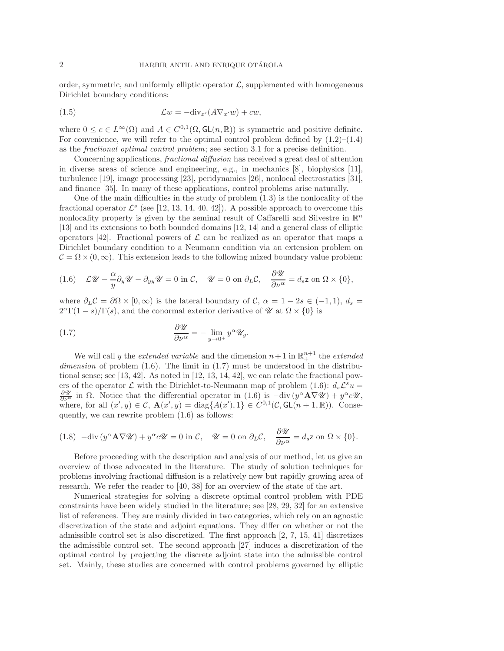<span id="page-1-3"></span>order, symmetric, and uniformly elliptic operator  $\mathcal{L}$ , supplemented with homogeneous Dirichlet boundary conditions:

(1.5) 
$$
\mathcal{L}w = -\text{div}_{x'}(A\nabla_{x'}w) + cw,
$$

where  $0 \leq c \in L^{\infty}(\Omega)$  and  $A \in C^{0,1}(\Omega, GL(n, \mathbb{R}))$  is symmetric and positive definite. For convenience, we will refer to the optimal control problem defined by  $(1.2)$ – $(1.4)$ as the *fractional optimal control problem*; see section [3.1](#page-5-0) for a precise definition.

Concerning applications, *fractional diffusion* has received a great deal of attention in diverse areas of science and engineering, e.g., in mechanics [\[8\]](#page-22-0), biophysics [\[11\]](#page-23-0), turbulence [\[19\]](#page-23-1), image processing [\[23\]](#page-23-2), peridynamics [\[26\]](#page-23-3), nonlocal electrostatics [\[31\]](#page-23-4), and finance [\[35\]](#page-23-5). In many of these applications, control problems arise naturally.

One of the main difficulties in the study of problem [\(1.3\)](#page-0-2) is the nonlocality of the fractional operator  $\mathcal{L}^s$  (see [\[12,](#page-23-6) [13,](#page-23-7) [14,](#page-23-8) [40,](#page-24-0) [42\]](#page-24-1)). A possible approach to overcome this nonlocality property is given by the seminal result of Caffarelli and Silvestre in  $\mathbb{R}^n$ [\[13\]](#page-23-7) and its extensions to both bounded domains [\[12,](#page-23-6) [14\]](#page-23-8) and a general class of elliptic operators [\[42\]](#page-24-1). Fractional powers of  $\mathcal L$  can be realized as an operator that maps a Dirichlet boundary condition to a Neumann condition via an extension problem on  $\mathcal{C} = \Omega \times (0, \infty)$ . This extension leads to the following mixed boundary value problem:

<span id="page-1-0"></span>(1.6) 
$$
\mathcal{L}\mathcal{U} - \frac{\alpha}{y}\partial_y \mathcal{U} - \partial_{yy} \mathcal{U} = 0
$$
 in  $\mathcal{C}$ ,  $\mathcal{U} = 0$  on  $\partial_L \mathcal{C}$ ,  $\frac{\partial \mathcal{U}}{\partial \nu^{\alpha}} = d_s z$  on  $\Omega \times \{0\}$ ,

where  $\partial_L C = \partial \Omega \times [0, \infty)$  is the lateral boundary of C,  $\alpha = 1 - 2s \in (-1, 1), d_s =$  $2^{\alpha}\Gamma(1-s)/\Gamma(s)$ , and the conormal exterior derivative of *U* at  $\Omega \times \{0\}$  is

<span id="page-1-1"></span>(1.7) 
$$
\frac{\partial \mathcal{U}}{\partial \nu^{\alpha}} = - \lim_{y \to 0^+} y^{\alpha} \mathcal{U}_y.
$$

We will call y the *extended variable* and the dimension  $n+1$  in  $\mathbb{R}^{n+1}_+$  the *extended dimension* of problem [\(1.6\)](#page-1-0). The limit in [\(1.7\)](#page-1-1) must be understood in the distribu-tional sense; see [\[13,](#page-23-7) [42\]](#page-24-1). As noted in [\[12,](#page-23-6) [13,](#page-23-7) [14,](#page-23-8) 42], we can relate the fractional powers of the operator  $\mathcal L$  with the Dirichlet-to-Neumann map of problem [\(1.6\)](#page-1-0):  $d_s\mathcal L^s u =$  $\frac{\partial \mathscr{U}}{\partial \nu^{\alpha}}$  in  $\Omega$ . Notice that the differential operator in [\(1.6\)](#page-1-0) is  $-\text{div}(y^{\alpha}A\nabla \mathscr{U}) + y^{\alpha}c\mathscr{U}$ , where, for all  $(x', y) \in C$ ,  $\mathbf{A}(x', y) = \text{diag}\{A(x'), 1\} \in C^{0,1}(\mathcal{C}, GL(n+1, \mathbb{R}))$ . Consequently we can rewrite problem (1.6) as follows: quently, we can rewrite problem [\(1.6\)](#page-1-0) as follows:

<span id="page-1-2"></span>(1.8) 
$$
-\text{div}(y^{\alpha}\mathbf{A}\nabla\mathcal{U}) + y^{\alpha}c\mathcal{U} = 0
$$
 in  $\mathcal{C}$ ,  $\mathcal{U} = 0$  on  $\partial_L \mathcal{C}$ ,  $\frac{\partial \mathcal{U}}{\partial \nu^{\alpha}} = d_s \mathbf{z}$  on  $\Omega \times \{0\}$ .

Before proceeding with the description and analysis of our method, let us give an overview of those advocated in the literature. The study of solution techniques for problems involving fractional diffusion is a relatively new but rapidly growing area of research. We refer the reader to [\[40,](#page-24-0) [38\]](#page-24-2) for an overview of the state of the art.

Numerical strategies for solving a discrete optimal control problem with PDE constraints have been widely studied in the literature; see [\[28,](#page-23-9) [29,](#page-23-10) [32\]](#page-23-11) for an extensive list of references. They are mainly divided in two categories, which rely on an agnostic discretization of the state and adjoint equations. They differ on whether or not the admissible control set is also discretized. The first approach [\[2,](#page-22-1) [7,](#page-22-2) [15,](#page-23-12) [41\]](#page-24-3) discretizes the admissible control set. The second approach [\[27\]](#page-23-13) induces a discretization of the optimal control by projecting the discrete adjoint state into the admissible control set. Mainly, these studies are concerned with control problems governed by elliptic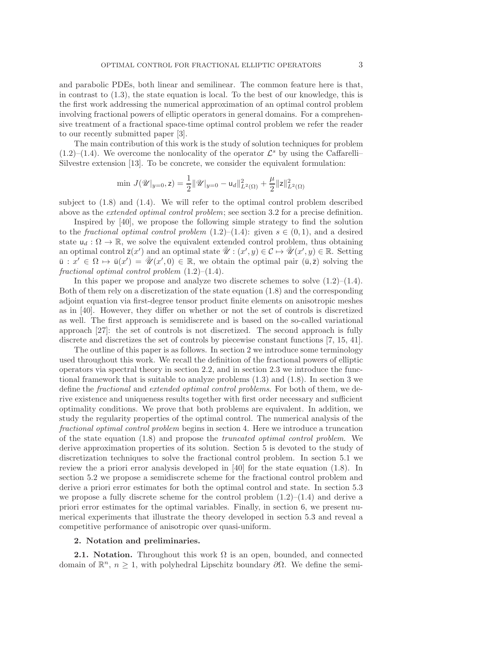and parabolic PDEs, both linear and semilinear. The common feature here is that, in contrast to [\(1.3\)](#page-0-2), the state equation is local. To the best of our knowledge, this is the first work addressing the numerical approximation of an optimal control problem involving fractional powers of elliptic operators in general domains. For a comprehensive treatment of a fractional space-time optimal control problem we refer the reader to our recently submitted paper [\[3\]](#page-22-3).

The main contribution of this work is the study of solution techniques for problem  $(1.2)$ – $(1.4)$ . We overcome the nonlocality of the operator  $\mathcal{L}^s$  by using the Caffarelli– Silvestre extension [\[13\]](#page-23-7). To be concrete, we consider the equivalent formulation:

$$
\min \, J(\mathscr{U}|_{y=0},\mathsf{z}) = \frac{1}{2} \|\mathscr{U}|_{y=0} - \mathsf{u}_d\|_{L^2(\Omega)}^2 + \frac{\mu}{2} \|\mathsf{z}\|_{L^2(\Omega)}^2
$$

subject to [\(1.8\)](#page-1-2) and [\(1.4\)](#page-0-1). We will refer to the optimal control problem described above as the *extended optimal control problem*; see section [3.2](#page-7-0) for a precise definition.

Inspired by [\[40\]](#page-24-0), we propose the following simple strategy to find the solution to the *fractional optimal control problem*  $(1.2)$ – $(1.4)$ : given  $s \in (0,1)$ , and a desired state  $u_d : \Omega \to \mathbb{R}$ , we solve the equivalent extended control problem, thus obtaining an optimal control  $\bar{z}(x')$  and an optimal state  $\bar{\mathscr{U}}$ :  $(x', y) \in \mathcal{C} \mapsto \bar{\mathscr{U}}(x', y) \in \mathbb{R}$ . Setting  $\bar{u} \cdot x' \in \Omega \mapsto \bar{u}(x') - \bar{\mathscr{U}}(x', 0) \in \mathbb{R}$  we obtain the optimal pair  $(\bar{u}, \bar{z})$  solving the  $\bar{u}: x' \in \Omega \mapsto \bar{u}(x') = \bar{\mathscr{U}}(x', 0) \in \mathbb{R}$ , we obtain the optimal pair  $(\bar{u}, \bar{z})$  solving the fractional optimal control problem  $(1, 2)$ – $(1, 4)$ *fractional optimal control problem* [\(1.2\)](#page-0-0)–[\(1.4\)](#page-0-1).

In this paper we propose and analyze two discrete schemes to solve  $(1.2)$ – $(1.4)$ . Both of them rely on a discretization of the state equation [\(1.8\)](#page-1-2) and the corresponding adjoint equation via first-degree tensor product finite elements on anisotropic meshes as in [\[40\]](#page-24-0). However, they differ on whether or not the set of controls is discretized as well. The first approach is semidiscrete and is based on the so-called variational approach [\[27\]](#page-23-13): the set of controls is not discretized. The second approach is fully discrete and discretizes the set of controls by piecewise constant functions [\[7,](#page-22-2) [15,](#page-23-12) [41\]](#page-24-3).

The outline of this paper is as follows. In section [2](#page-2-0) we introduce some terminology used throughout this work. We recall the definition of the fractional powers of elliptic operators via spectral theory in section [2.2,](#page-3-0) and in section [2.3](#page-3-1) we introduce the functional framework that is suitable to analyze problems [\(1.3\)](#page-0-2) and [\(1.8\)](#page-1-2). In section [3](#page-5-1) we define the *fractional* and *extended optimal control problems*. For both of them, we derive existence and uniqueness results together with first order necessary and sufficient optimality conditions. We prove that both problems are equivalent. In addition, we study the regularity properties of the optimal control. The numerical analysis of the *fractional optimal control problem* begins in section [4.](#page-9-0) Here we introduce a truncation of the state equation [\(1.8\)](#page-1-2) and propose the *truncated optimal control problem*. We derive approximation properties of its solution. Section [5](#page-11-0) is devoted to the study of discretization techniques to solve the fractional control problem. In section [5.1](#page-11-1) we review the a priori error analysis developed in [\[40\]](#page-24-0) for the state equation [\(1.8\)](#page-1-2). In section [5.2](#page-14-0) we propose a semidiscrete scheme for the fractional control problem and derive a priori error estimates for both the optimal control and state. In section [5.3](#page-17-0) we propose a fully discrete scheme for the control problem  $(1.2)$ – $(1.4)$  and derive a priori error estimates for the optimal variables. Finally, in section [6,](#page-20-0) we present numerical experiments that illustrate the theory developed in section [5.3](#page-17-0) and reveal a competitive performance of anisotropic over quasi-uniform.

## <span id="page-2-0"></span>**2. Notation and preliminaries.**

**2.1. Notation.** Throughout this work  $\Omega$  is an open, bounded, and connected domain of  $\mathbb{R}^n$ ,  $n \geq 1$ , with polyhedral Lipschitz boundary  $\partial \Omega$ . We define the semi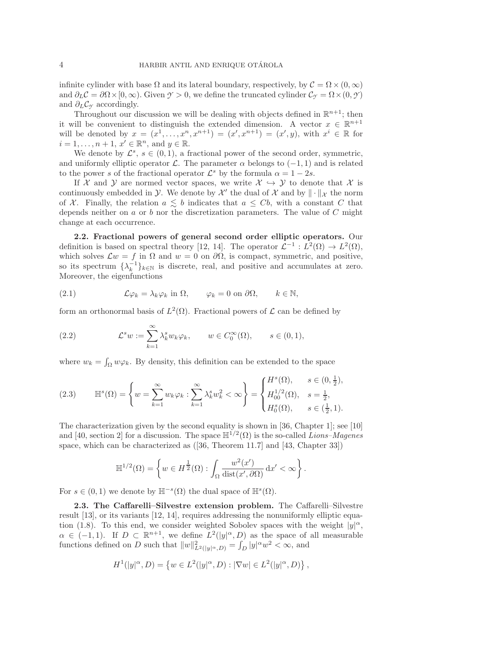infinite cylinder with base  $\Omega$  and its lateral boundary, respectively, by  $\mathcal{C} = \Omega \times (0, \infty)$ and  $\partial_L C = \partial \Omega \times [0, \infty)$ . Given  $\mathcal{Y} > 0$ , we define the truncated cylinder  $\mathcal{C}_{\mathcal{Y}} = \Omega \times (0, \mathcal{Y})$ and  $\partial_L C_\gamma$  accordingly.

Throughout our discussion we will be dealing with objects defined in  $\mathbb{R}^{n+1}$ ; then it will be convenient to distinguish the extended dimension. A vector  $x \in \mathbb{R}^{n+1}$ will be denoted by  $x = (x^1, ..., x^n, x^{n+1}) = (x', x^{n+1}) = (x', y)$ , with  $x^i \in \mathbb{R}$  for  $i = 1, \ldots, n + 1, x' \in \mathbb{R}^n$ , and  $y \in \mathbb{R}$ .

We denote by  $\mathcal{L}^s$ ,  $s \in (0,1)$ , a fractional power of the second order, symmetric, and uniformly elliptic operator  $\mathcal L$ . The parameter  $\alpha$  belongs to (-1, 1) and is related to the power s of the fractional operator  $\mathcal{L}^s$  by the formula  $\alpha = 1 - 2s$ .

If X and Y are normed vector spaces, we write  $\mathcal{X} \hookrightarrow \mathcal{Y}$  to denote that X is continuously embedded in  $\mathcal Y$ . We denote by  $\mathcal X'$  the dual of  $\mathcal X$  and by  $\|\cdot\|_{\mathcal X}$  the norm of X. Finally, the relation  $a \leq b$  indicates that  $a \leq Cb$ , with a constant C that depends neither on  $a$  or  $b$  nor the discretization parameters. The value of  $C$  might change at each occurrence.

<span id="page-3-0"></span>**2.2. Fractional powers of general second order elliptic operators.** Our definition is based on spectral theory [\[12,](#page-23-6) [14\]](#page-23-8). The operator  $\mathcal{L}^{-1}: L^2(\Omega) \to L^2(\Omega)$ , which solves  $\mathcal{L}w = f$  in  $\Omega$  and  $w = 0$  on  $\partial\Omega$ , is compact, symmetric, and positive, so its spectrum  $\{\lambda_k^{-1}\}_{k\in\mathbb{N}}$  is discrete, real, and positive and accumulates at zero. Moreover, the eigenfunctions

<span id="page-3-2"></span>(2.1) 
$$
\mathcal{L}\varphi_k = \lambda_k \varphi_k \text{ in } \Omega, \qquad \varphi_k = 0 \text{ on } \partial\Omega, \qquad k \in \mathbb{N},
$$

form an orthonormal basis of  $L^2(\Omega)$ . Fractional powers of  $\mathcal L$  can be defined by

(2.2) 
$$
\mathcal{L}^s w := \sum_{k=1}^{\infty} \lambda_k^s w_k \varphi_k, \qquad w \in C_0^{\infty}(\Omega), \qquad s \in (0,1),
$$

where  $w_k = \int_{\Omega} w \varphi_k$ . By density, this definition can be extended to the space

$$
(2.3) \qquad \mathbb{H}^{s}(\Omega) = \left\{ w = \sum_{k=1}^{\infty} w_k \varphi_k : \sum_{k=1}^{\infty} \lambda_k^s w_k^2 < \infty \right\} = \begin{cases} H^s(\Omega), & s \in (0, \frac{1}{2}), \\ H_{00}^{1/2}(\Omega), & s = \frac{1}{2}, \\ H_0^s(\Omega), & s \in (\frac{1}{2}, 1). \end{cases}
$$

The characterization given by the second equality is shown in [\[36,](#page-23-14) Chapter 1]; see [\[10\]](#page-22-4) and [\[40,](#page-24-0) section 2] for a discussion. The space  $\mathbb{H}^{1/2}(\Omega)$  is the so-called *Lions–Magenes* space, which can be characterized as ([\[36,](#page-23-14) Theorem 11.7] and [\[43,](#page-24-4) Chapter 33])

<span id="page-3-4"></span><span id="page-3-3"></span>
$$
\mathbb{H}^{1/2}(\Omega) = \left\{ w \in H^{\frac{1}{2}}(\Omega) : \int_{\Omega} \frac{w^2(x')}{\text{dist}(x', \partial \Omega)} dx' < \infty \right\}.
$$

<span id="page-3-1"></span>For  $s \in (0,1)$  we denote by  $\mathbb{H}^{-s}(\Omega)$  the dual space of  $\mathbb{H}^{s}(\Omega)$ .

**2.3. The Caffarelli–Silvestre extension problem.** The Caffarelli–Silvestre result [\[13\]](#page-23-7), or its variants [\[12,](#page-23-6) [14\]](#page-23-8), requires addressing the nonuniformly elliptic equa-tion [\(1.8\)](#page-1-2). To this end, we consider weighted Sobolev spaces with the weight  $|y|^{\alpha}$ ,  $\alpha \in (-1,1)$ . If  $D \subset \mathbb{R}^{n+1}$ , we define  $L^2(|y|^\alpha, D)$  as the space of all measurable functions defined on D such that  $||w||^2_{L^2(|y|\alpha,D)} = \int_D |y|^\alpha w^2 < \infty$ , and

$$
H^{1}(|y|^{\alpha}, D) = \{ w \in L^{2}(|y|^{\alpha}, D) : |\nabla w| \in L^{2}(|y|^{\alpha}, D) \},
$$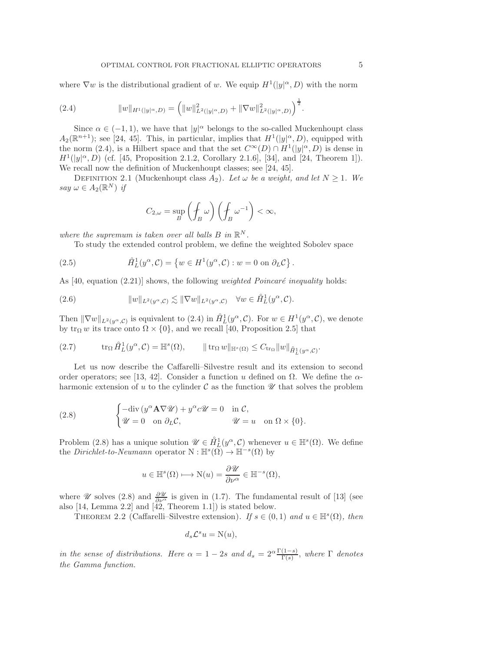where  $\nabla w$  is the distributional gradient of w. We equip  $H^1(|y|^\alpha, D)$  with the norm

(2.4) 
$$
||w||_{H^1(|y|^{\alpha},D)} = (||w||^2_{L^2(|y|^{\alpha},D)} + ||\nabla w||^2_{L^2(|y|^{\alpha},D)})^{\frac{1}{2}}.
$$

Since  $\alpha \in (-1,1)$ , we have that  $|y|^{\alpha}$  belongs to the so-called Muckenhoupt class  $A_2(\mathbb{R}^{n+1})$ ; see [\[24,](#page-23-15) [45\]](#page-24-5). This, in particular, implies that  $H^1(|y|^\alpha, D)$ , equipped with the norm [\(2.4\)](#page-4-0), is a Hilbert space and that the set  $C^{\infty}(D) \cap H^{1}(|y|^{\alpha}, D)$  is dense in  $H^1(|y|^\alpha, D)$  (cf. [\[45,](#page-24-5) Proposition 2.1.2, Corollary 2.1.6], [\[34\]](#page-23-16), and [\[24,](#page-23-15) Theorem 1]). We recall now the definition of Muckenhoupt classes; see [\[24,](#page-23-15) [45\]](#page-24-5).

DEFINITION 2.1 (Muckenhoupt class  $A_2$ ). Let  $\omega$  be a weight, and let  $N \geq 1$ . We *say*  $\omega \in A_2(\mathbb{R}^N)$  *if* 

$$
C_{2,\omega} = \sup_{B} \left( \oint_{B} \omega \right) \left( \oint_{B} \omega^{-1} \right) < \infty,
$$

*where the supremum is taken over all balls*  $B$  *in*  $\mathbb{R}^N$ *.* 

To study the extended control problem, we define the weighted Sobolev space

<span id="page-4-4"></span><span id="page-4-3"></span><span id="page-4-2"></span><span id="page-4-0"></span>.

(2.5) 
$$
\hat{H}_L^1(y^\alpha, \mathcal{C}) = \{ w \in H^1(y^\alpha, \mathcal{C}) : w = 0 \text{ on } \partial_L \mathcal{C} \}
$$

As [\[40,](#page-24-0) equation (2.21)] shows, the following *weighted Poincaré inequality* holds:

(2.6) 
$$
||w||_{L^2(y^{\alpha}, \mathcal{C})} \lesssim ||\nabla w||_{L^2(y^{\alpha}, \mathcal{C})} \quad \forall w \in \mathring{H}_L^1(y^{\alpha}, \mathcal{C}).
$$

Then  $\|\nabla w\|_{L^2(y^\alpha,\mathcal{C})}$  is equivalent to  $(2.4)$  in  $\mathring{H}_L^1(y^\alpha,\mathcal{C})$ . For  $w \in H^1(y^\alpha,\mathcal{C})$ , we denote by tr<sub>Ω</sub> w its trace onto  $\Omega \times \{0\}$ , and we recall [\[40,](#page-24-0) Proposition 2.5] that

$$
(2.7) \t\t tr_{\Omega} \mathring{H}^1_L(y^{\alpha}, \mathcal{C}) = \mathbb{H}^s(\Omega), \t\t || \operatorname{tr}_{\Omega} w ||_{\mathbb{H}^s(\Omega)} \leq C_{\operatorname{tr}_{\Omega}} ||w||_{\mathring{H}^1_L(y^{\alpha}, \mathcal{C})}.
$$

Let us now describe the Caffarelli–Silvestre result and its extension to second order operators; see [\[13,](#page-23-7) [42\]](#page-24-1). Consider a function u defined on  $\Omega$ . We define the  $\alpha$ harmonic extension of u to the cylinder  $\mathcal C$  as the function  $\mathcal U$  that solves the problem

<span id="page-4-1"></span>(2.8) 
$$
\begin{cases}\n-\text{div}(y^{\alpha}\mathbf{A}\nabla\mathcal{U}) + y^{\alpha}c\mathcal{U} = 0 & \text{in } C, \\
\mathcal{U} = 0 & \text{on } \partial_{L}C, \n\end{cases} \quad \mathcal{U} = u \quad \text{on } \Omega \times \{0\}.
$$

Problem [\(2.8\)](#page-4-1) has a unique solution  $\mathscr{U} \in \hat{H}^1_L(y^\alpha, \mathcal{C})$  whenever  $u \in \mathbb{H}^s(\Omega)$ . We define the *Dirichlet-to-Neumann* operator  $N : \mathbb{H}^s(\overline{\Omega}) \to \mathbb{H}^{-s}(\Omega)$  by

$$
u \in \mathbb{H}^s(\Omega) \longmapsto \mathrm{N}(u) = \frac{\partial \mathscr{U}}{\partial \nu^{\alpha}} \in \mathbb{H}^{-s}(\Omega),
$$

<span id="page-4-5"></span>where *U* solves [\(2.8\)](#page-4-1) and  $\frac{\partial \mathscr{U}}{\partial \nu^{\alpha}}$  is given in [\(1.7\)](#page-1-1). The fundamental result of [\[13\]](#page-23-7) (see also [\[14,](#page-23-8) Lemma 2.2] and [\[42,](#page-24-1) Theorem 1.1]) is stated below.

THEOREM 2.2 (Caffarelli–Silvestre extension). *If*  $s \in (0,1)$  *and*  $u \in \mathbb{H}^{s}(\Omega)$ *, then* 

$$
d_s \mathcal{L}^s u = \mathcal{N}(u),
$$

*in the sense of distributions. Here*  $\alpha = 1 - 2s$  *and*  $d_s = 2^{\alpha} \frac{\Gamma(1-s)}{\Gamma(s)}$ , *where*  $\Gamma$  *denotes the Gamma function.*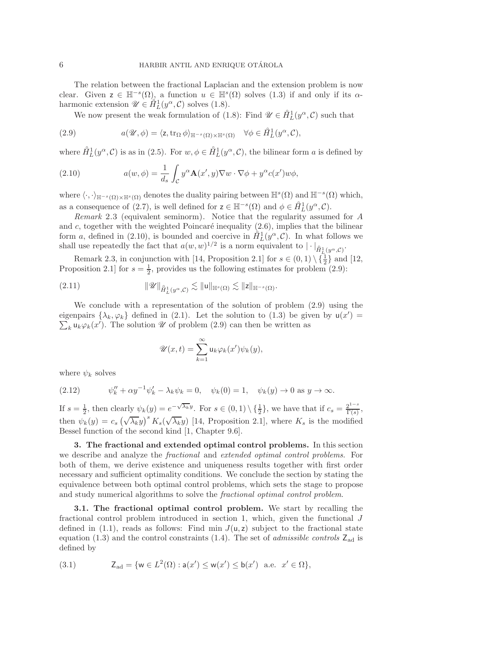The relation between the fractional Laplacian and the extension problem is now clear. Given  $z \in \mathbb{H}^{-s}(\Omega)$ , a function  $u \in \mathbb{H}^{s}(\Omega)$  solves  $(1.3)$  if and only if its  $\alpha$ harmonic extension  $\mathscr{U} \in \hat{H}^1_L(y^\alpha, \mathcal{C})$  solves [\(1.8\)](#page-1-2).

<span id="page-5-4"></span>We now present the weak formulation of [\(1.8\)](#page-1-2): Find  $\mathscr{U} \in \mathring{H}_L^1(y^\alpha, \mathcal{C})$  such that

(2.9) 
$$
a(\mathscr{U}, \phi) = \langle z, \operatorname{tr}_{\Omega} \phi \rangle_{\mathbb{H}^{-s}(\Omega) \times \mathbb{H}^{s}(\Omega)} \quad \forall \phi \in \mathring{H}_L^1(y^\alpha, \mathcal{C}),
$$

where  $\hat{H}_L^1(y^\alpha, \mathcal{C})$  is as in [\(2.5\)](#page-4-2). For  $w, \phi \in \hat{H}_L^1(y^\alpha, \mathcal{C})$ , the bilinear form a is defined by

(2.10) 
$$
a(w, \phi) = \frac{1}{d_s} \int_{\mathcal{C}} y^{\alpha} \mathbf{A}(x', y) \nabla w \cdot \nabla \phi + y^{\alpha} c(x') w \phi,
$$

where  $\langle \cdot, \cdot \rangle_{\mathbb{H}^{-s}(\Omega) \times \mathbb{H}^s(\Omega)}$  denotes the duality pairing between  $\mathbb{H}^s(\Omega)$  and  $\mathbb{H}^{-s}(\Omega)$  which, as a consequence of [\(2.7\)](#page-4-3), is well defined for  $z \in \mathbb{H}^{-s}(\Omega)$  and  $\phi \in \mathring{H}^1_L(y^\alpha, \mathcal{C})$ .<br>Remark 2.3 (oquivalent seminorm). Notice that the reqularity assumed

<span id="page-5-3"></span>*Remark* 2.3 (equivalent seminorm). Notice that the regularity assumed for A and  $c$ , together with the weighted Poincaré inequality  $(2.6)$ , implies that the bilinear form a, defined in [\(2.10\)](#page-5-2), is bounded and coercive in  $\mathring{H}_L^1(y^\alpha, \mathcal{C})$ . In what follows we shall use repeatedly the fact that  $a(w, w)^{1/2}$  is a norm equivalent to  $|\cdot|_{\hat{H}_L^1(y^\alpha, \mathcal{C})}$ .

Remark [2.3,](#page-5-3) in conjunction with [\[14,](#page-23-8) Proposition 2.1] for  $s \in (0,1) \setminus {\frac{1}{2}}$  and [\[12,](#page-23-6) Proposition 2.1] for  $s = \frac{1}{2}$ , provides us the following estimates for problem [\(2.9\)](#page-5-4):

$$
(2.11) \t\t\t\t\|\mathscr{U}\|_{\mathring{H}^1_L(y^\alpha,\mathcal{C})}\lesssim \|u\|_{\mathbb{H}^s(\Omega)}\lesssim \|z\|_{\mathbb{H}^{-s}(\Omega)}.
$$

We conclude with a representation of the solution of problem [\(2.9\)](#page-5-4) using the eigenpairs  $\{\lambda_k, \varphi_k\}$  defined in [\(2.1\)](#page-3-2). Let the solution to [\(1.3\)](#page-0-2) be given by  $u(x') = \sum_{k} u_k(x')$ . The solution  $\mathscr{U}$  of problem (2.9) can then be written as  $\sum_k \mathsf{u}_k \varphi_k(x')$ . The solution *U* of problem [\(2.9\)](#page-5-4) can then be written as

<span id="page-5-6"></span><span id="page-5-5"></span><span id="page-5-2"></span>
$$
\mathscr{U}(x,t) = \sum_{k=1}^{\infty} \mathsf{u}_k \varphi_k(x') \psi_k(y),
$$

where  $\psi_k$  solves

(2.12) 
$$
\psi_k'' + \alpha y^{-1} \psi_k' - \lambda_k \psi_k = 0, \quad \psi_k(0) = 1, \quad \psi_k(y) \to 0 \text{ as } y \to \infty.
$$

If  $s = \frac{1}{2}$ , then clearly  $\psi_k(y) = e^{-\sqrt{\lambda_k}y}$ . For  $s \in (0,1) \setminus {\frac{1}{2}}$ , we have that if  $c_s = \frac{2^{1-s}}{\Gamma(s)}$ . then  $\psi_k(y) = c_s \left(\sqrt{\lambda_k}y\right)^s K_s(\sqrt{\lambda_k}y)$  [\[14,](#page-23-8) Proposition 2.1], where  $K_s$  is the modified Bessel function of the second kind [\[1,](#page-22-5) Chapter 9.6].

<span id="page-5-1"></span>**3. The fractional and extended optimal control problems.** In this section we describe and analyze the *fractional* and *extended optimal control problems*. For both of them, we derive existence and uniqueness results together with first order necessary and sufficient optimality conditions. We conclude the section by stating the equivalence between both optimal control problems, which sets the stage to propose and study numerical algorithms to solve the *fractional optimal control problem*.

<span id="page-5-0"></span>**3.1. The fractional optimal control problem.** We start by recalling the fractional control problem introduced in section [1,](#page-0-3) which, given the functional J defined in [\(1.1\)](#page-0-4), reads as follows: Find min  $J(u, z)$  subject to the fractional state equation  $(1.3)$  and the control constraints  $(1.4)$ . The set of *admissible controls*  $Z_{ad}$  is defined by

<span id="page-5-7"></span>(3.1) 
$$
Z_{ad} = \{ w \in L^{2}(\Omega) : a(x') \le w(x') \le b(x') \text{ a.e. } x' \in \Omega \},
$$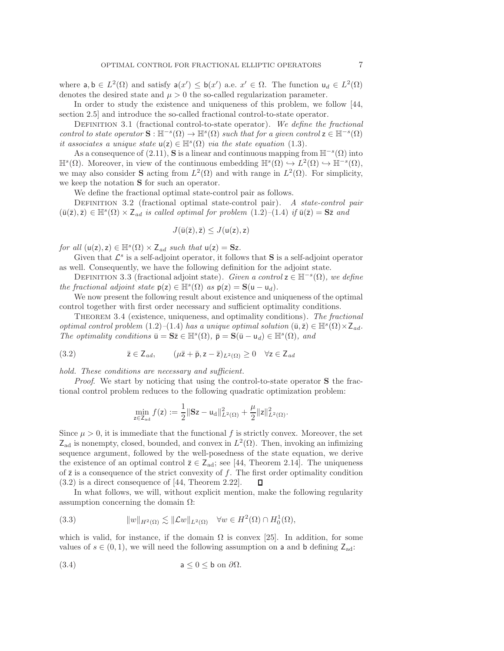where  $a, b \in L^2(\Omega)$  and satisfy  $a(x') \leq b(x')$  a.e.  $x' \in \Omega$ . The function  $u_d \in L^2(\Omega)$ <br>denotes the desired state and  $u > 0$  the so-called regularization parameter denotes the desired state and  $\mu > 0$  the so-called regularization parameter.

In order to study the existence and uniqueness of this problem, we follow [\[44,](#page-24-6) section 2.5] and introduce the so-called fractional control-to-state operator.

DEFINITION 3.1 (fractional control-to-state operator). We define the fractional *control to state operator*  $\mathbf{S} : \mathbb{H}^{-s}(\Omega) \to \mathbb{H}^{s}(\Omega)$  *such that for a given control*  $z \in \mathbb{H}^{-s}(\Omega)$ *it associates a unique state*  $u(z) \in \mathbb{H}^{s}(\Omega)$  *via the state equation* [\(1.3\)](#page-0-2).

As a consequence of  $(2.11)$ , **S** is a linear and continuous mapping from  $\mathbb{H}^{-s}(\Omega)$  into  $\mathbb{H}^s(\Omega)$ . Moreover, in view of the continuous embedding  $\mathbb{H}^s(\Omega) \hookrightarrow L^2(\Omega) \hookrightarrow \mathbb{H}^{-s}(\Omega)$ , we may also consider **S** acting from  $L^2(\Omega)$  and with range in  $L^2(\Omega)$ . For simplicity, we keep the notation **S** for such an operator.

We define the fractional optimal state-control pair as follows.

<span id="page-6-5"></span>Definition 3.2 (fractional optimal state-control pair). *A state-control pair*  $(\bar{u}(\bar{z}), \bar{z}) \in \mathbb{H}^s(\Omega) \times Z_{ad}$  *is called optimal for problem*  $(1.2)$ – $(1.4)$  *if*  $\bar{u}(\bar{z}) = S\bar{z}$  *and* 

<span id="page-6-0"></span>
$$
J(\bar{u}(\bar{z}),\bar{z})\leq J(u(z),z)
$$

*for all*  $(u(z), z) \in \mathbb{H}^s(\Omega) \times Z_{ad}$  *such that*  $u(z) = Sz$ .

Given that  $\mathcal{L}^s$  is a self-adjoint operator, it follows that **S** is a self-adjoint operator as well. Consequently, we have the following definition for the adjoint state.

<span id="page-6-1"></span>DEFINITION 3.3 (fractional adjoint state). *Given a control*  $z \in \mathbb{H}^{-s}(\Omega)$ *, we define the fractional adjoint state*  $p(z) \in \mathbb{H}^s(\Omega)$  *as*  $p(z) = S(u - u_d)$ *.* 

We now present the following result about existence and uniqueness of the optimal control together with first order necessary and sufficient optimality conditions.

<span id="page-6-4"></span>Theorem 3.4 (existence, uniqueness, and optimality conditions). *The fractional optimal control problem* [\(1.2\)](#page-0-0)–[\(1.4\)](#page-0-1) *has a unique optimal solution*  $(\bar{u}, \bar{z}) \in \mathbb{H}^{s}(\Omega) \times Z_{ad}$ *. The optimality conditions*  $\bar{\mathbf{u}} = \mathbf{S}\bar{\mathbf{z}} \in \mathbb{H}^s(\Omega)$ ,  $\bar{\mathbf{p}} = \mathbf{S}(\bar{\mathbf{u}} - \mathbf{u}_d) \in \mathbb{H}^s(\Omega)$ , and

(3.2) 
$$
\bar{z} \in Z_{ad}, \qquad (\mu \bar{z} + \bar{p}, z - \bar{z})_{L^2(\Omega)} \geq 0 \quad \forall z \in Z_{ad}
$$

*hold. These conditions are necessary and sufficient.*

*Proof*. We start by noticing that using the control-to-state operator **S** the fractional control problem reduces to the following quadratic optimization problem:

<span id="page-6-3"></span><span id="page-6-2"></span>
$$
\min_{z \in Z_{ad}} f(z) := \frac{1}{2} \|Sz - u_d\|_{L^2(\Omega)}^2 + \frac{\mu}{2} \|z\|_{L^2(\Omega)}^2.
$$

Since  $\mu > 0$ , it is immediate that the functional f is strictly convex. Moreover, the set  $Z_{\text{ad}}$  is nonempty, closed, bounded, and convex in  $L^2(\Omega)$ . Then, invoking an infimizing sequence argument, followed by the well-posedness of the state equation, we derive the existence of an optimal control  $\bar{z} \in Z_{ad}$ ; see [\[44,](#page-24-6) Theorem 2.14]. The uniqueness of  $\bar{z}$  is a consequence of the strict convexity of f. The first order optimality condition (3.2) is a direct consequence of [44. Theorem 2.22].  $\Box$ [\(3.2\)](#page-6-0) is a direct consequence of [\[44,](#page-24-6) Theorem 2.22].

In what follows, we will, without explicit mention, make the following regularity assumption concerning the domain  $\Omega$ :

(3.3) 
$$
||w||_{H^2(\Omega)} \lesssim ||\mathcal{L}w||_{L^2(\Omega)} \quad \forall w \in H^2(\Omega) \cap H_0^1(\Omega),
$$

which is valid, for instance, if the domain  $\Omega$  is convex [\[25\]](#page-23-17). In addition, for some values of  $s \in (0, 1)$ , we will need the following assumption on a and b defining  $Z_{ad}$ :

(3.4) 
$$
a \leq 0 \leq b \text{ on } \partial \Omega.
$$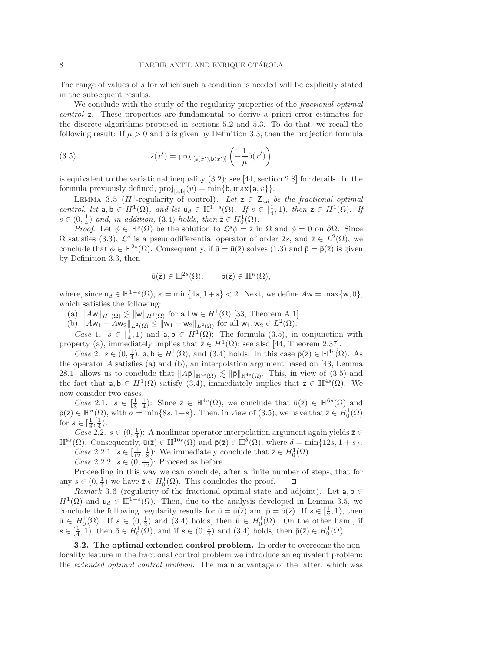The range of values of s for which such a condition is needed will be explicitly stated in the subsequent results.

We conclude with the study of the regularity properties of the *fractional optimal control*  $\bar{z}$ . These properties are fundamental to derive a priori error estimates for the discrete algorithms proposed in sections [5.2](#page-14-0) and [5.3.](#page-17-0) To do that, we recall the following result: If  $\mu > 0$  and  $\bar{p}$  is given by Definition [3.3,](#page-6-1) then the projection formula

(3.5) 
$$
\bar{z}(x') = \text{proj}_{[a(x'),b(x')]}\left(-\frac{1}{\mu}\bar{p}(x')\right)
$$

is equivalent to the variational inequality  $(3.2)$ ; see [\[44,](#page-24-6) section 2.8] for details. In the formula previously defined,  $proj_{[a,b]}(v) = min\{b, max\{a, v\}\}.$ 

<span id="page-7-4"></span>LEMMA 3.5 ( $H^1$ -regularity of control). Let  $\overline{z} \in Z_{ad}$  *be the fractional optimal control, let*  $a, b \in H^1(\Omega)$ *, and let*  $u_d \in H^{1-s}(\Omega)$ *. If*  $s \in [\frac{1}{4}, 1)$ *, then*  $\overline{z} \in H^1(\Omega)$ *. If*  $s \in (0, \frac{1}{2})$  *and in addition* (3.4) holds then  $\overline{z} \in H^1(\Omega)$  $s \in (0, \frac{1}{4})$  and, in addition, [\(3.4\)](#page-6-2) holds, then  $\overline{z} \in H_0^1(\Omega)$ .<br>Proof Let  $\phi \in \mathbb{H}^s(\Omega)$  be the solution to  $\mathcal{L}^s \phi - \overline{z}$ ,

*Proof.* Let  $\phi \in \mathbb{H}^s(\Omega)$  be the solution to  $\mathcal{L}^s \phi = \overline{z}$  in  $\Omega$  and  $\phi = 0$  on  $\partial \Omega$ . Since  $\Omega$  satisfies [\(3.3\)](#page-6-3),  $\mathcal{L}^s$  is a pseudodifferential operator of order 2s, and  $\overline{z} \in L^2(\Omega)$ , we conclude that  $\phi \in \mathbb{H}^{2s}(\Omega)$ . Consequently, if  $\bar{u} = \bar{u}(\bar{z})$  solves [\(1.3\)](#page-0-2) and  $\bar{p} = \bar{p}(\bar{z})$  is given by Definition [3.3,](#page-6-1) then

<span id="page-7-1"></span>
$$
\bar{u}(\bar{z}) \in \mathbb{H}^{2s}(\Omega), \qquad \bar{p}(\bar{z}) \in \mathbb{H}^{\kappa}(\Omega),
$$

where, since  $u_d \in \mathbb{H}^{1-s}(\Omega)$ ,  $\kappa = \min\{4s, 1+s\} < 2$ . Next, we define  $Aw = \max\{w, 0\}$ , which satisfies the following:

<span id="page-7-3"></span><span id="page-7-2"></span>(a)  $\|Aw\|_{H^1(\Omega)} \lesssim \|w\|_{H^1(\Omega)}$  for all  $w \in H^1(\Omega)$  [\[33,](#page-23-18) Theorem A.1].<br>
(b)  $\|Aw_1 - Aw_2\|_{L^2(\Omega)} \lesssim \|w_1 - w_2\|_{L^2(\Omega)}$  for all  $w_1, w_2 \in L^2(\Omega)$ .

(b)  $||Aw_1 - Aw_2||_{L^2(\Omega)} \le ||w_1 - w_2||_{L^2(\Omega)}$  for all  $w_1, w_2 \in L^2(\Omega)$ .

*Case* 1.  $s \in [\frac{1}{4}, 1)$  and  $a, b \in H^1(\Omega)$ : The formula [\(3.5\)](#page-7-1), in conjunction with perty (3) immediately implies that  $\overline{z} \in H^1(\Omega)$ : see also [44]. Theorem 2.37] property [\(a\)](#page-7-2), immediately implies that  $\overline{z} \in H^1(\Omega)$ ; see also [\[44,](#page-24-6) Theorem 2.37].

*Case* 2.  $s \in (0, \frac{1}{4})$ , a,  $b \in H^1(\Omega)$ , and [\(3.4\)](#page-6-2) holds: In this case  $\bar{\mathsf{p}}(\bar{z}) \in \mathbb{H}^{4s}(\Omega)$ . As the operator  $A$  satisfies [\(a\)](#page-7-2) and [\(b\)](#page-7-3), an interpolation argument based on [\[43,](#page-24-4) Lemma 28.1] allows us to conclude that  $||A\overline{P}||_{\mathbb{H}^{4s}(\Omega)} \lesssim ||\overline{P}||_{\mathbb{H}^{4s}(\Omega)}$ . This, in view of [\(3.5\)](#page-7-1) and the fact that  $a, b \in H^1(\Omega)$  satisfy (3.4) immediately implies that  $\overline{z} \in \mathbb{H}^{4s}(\Omega)$ . We the fact that  $a, b \in H^1(\Omega)$  satisfy [\(3.4\)](#page-6-2), immediately implies that  $\overline{z} \in \mathbb{H}^{4s}(\Omega)$ . We now consider two cases.

*Case* 2.1.  $s \in \left[\frac{1}{8}, \frac{1}{4}\right)$ : Since  $\overline{z} \in \mathbb{H}^{4s}(\Omega)$ , we conclude that  $\overline{u}(\overline{z}) \in \mathbb{H}^{6s}(\Omega)$  and  $\in \mathbb{H}^{\sigma}(\Omega)$  with  $\tau = \min\{8s, 1 + \epsilon\}$ . Then in view of  $(3, 5)$ , we have that  $\overline{z} \in H^1(\Omega)$ .  $\bar{p}(\bar{z}) \in \mathbb{H}^{\sigma}(\Omega)$ , with  $\sigma = \min\{8s, 1+s\}$ . Then, in view of  $(3.5)$ , we have that  $\bar{z} \in H_0^1(\Omega)$ for  $s \in [\frac{1}{8}, \frac{1}{4})$ .

 $Case 2.2.$   $s \in (0, \frac{1}{8})$ : A nonlinear operator interpolation argument again yields  $\overline{z} \in (0)$ . Consequently  $\overline{u}(\overline{z}) \in \mathbb{H}^{10s}(\Omega)$  and  $\overline{u}(\overline{z}) \in \mathbb{H}^{\delta}(\Omega)$  where  $\delta = \min\{12s, 1 + s\}$  $\mathbb{H}^{8s}(\Omega)$ . Consequently,  $\bar{\mathsf{u}}(\bar{\mathsf{z}}) \in \mathbb{H}^{10s}(\Omega)$  and  $\bar{\mathsf{p}}(\bar{\mathsf{z}}) \in \mathbb{H}^{\delta}(\Omega)$ , where  $\delta = \min\{12s, 1+s\}$ . *Case* 2.2.1.  $s \in [\frac{1}{12}, \frac{1}{8})$ : We immediately conclude that  $\overline{z} \in H_0^1(\Omega)$ .<br>*Case* 2.2.2,  $s \in (0, \frac{1}{2})$ : Proceed as before

*Case* 2.2.2.  $s \in \left(0, \frac{12}{12}\right)$ : Proceed as before.

Proceeding in this way we can conclude, after a finite number of steps, that for any  $s \in (0, \frac{1}{4})$  we have  $\overline{z} \in H_0^1(\Omega)$ . This concludes the proof.<br>Remark 3.6 (requiring of the fractional optimal state) Ц

<span id="page-7-5"></span>*Remark* 3.6 (regularity of the fractional optimal state and adjoint). Let  $a, b \in$  $H^1(\Omega)$  and  $u_d \in \mathbb{H}^{1-s}(\Omega)$ . Then, due to the analysis developed in Lemma [3.5,](#page-7-4) we conclude the following regularity results for  $\bar{u} = \bar{u}(\bar{z})$  and  $\bar{p} = \bar{p}(\bar{z})$ . If  $s \in [\frac{1}{2}, 1)$ , then  $\bar{u} \in H^1(\Omega)$ . On the other hand if  $\overline{u} \in H_0^1(\Omega)$ . If  $s \in (0, \frac{1}{2})$  and [\(3.4\)](#page-6-2) holds, then  $\overline{u} \in H_0^1(\Omega)$ . On the other hand, if  $s \in [1, 1)$  then  $\overline{v} \in H_0^1(\Omega)$  and if  $s \in (0, \frac{1}{2})$  and (3.4) holds, then  $\overline{v}(\overline{z}) \in H_0^1(\Omega)$  $s \in \left[\frac{1}{4}, 1\right)$ , then  $\bar{\mathsf{p}} \in H_0^1(\Omega)$ , and if  $s \in (0, \frac{1}{4})$  and  $(3.4)$  holds, then  $\bar{\mathsf{p}}(\bar{z}) \in H_0^1(\Omega)$ .

<span id="page-7-0"></span>**3.2. The optimal extended control problem.** In order to overcome the nonlocality feature in the fractional control problem we introduce an equivalent problem: the *extended optimal control problem*. The main advantage of the latter, which was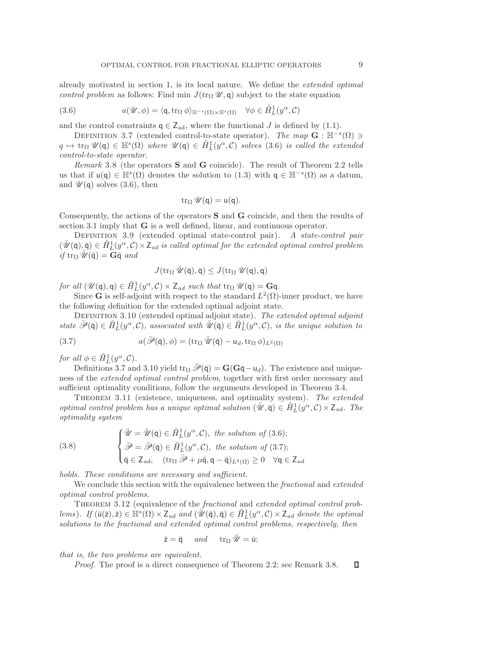already motivated in section [1,](#page-0-3) is its local nature. We define the *extended optimal control problem* as follows: Find min  $J(\text{tr}_{\Omega} \mathscr{U}, \mathsf{q})$  subject to the state equation

(3.6) 
$$
a(\mathscr{U}, \phi) = \langle \mathsf{q}, \operatorname{tr}_{\Omega} \phi \rangle_{\mathbb{H}^{-s}(\Omega) \times \mathbb{H}^{s}(\Omega)} \quad \forall \phi \in \mathring{H}_L^1(y^\alpha, \mathcal{C})
$$

<span id="page-8-1"></span>and the control constraints  $q \in Z_{ad}$ , where the functional J is defined by [\(1.1\)](#page-0-4).

DEFINITION 3.7 (extended control-to-state operator). *The map*  $\mathbf{G}$  :  $\mathbb{H}^{-s}(\Omega)$   $\ni$  $q \mapsto \text{tr}_{\Omega} \mathscr{U}(\mathsf{q}) \in \mathbb{H}^s(\Omega)$  *where*  $\mathscr{U}(\mathsf{q}) \in \hat{H}_L^1(y^\alpha, \mathcal{C})$  *solves* [\(3.6\)](#page-8-0) *is called the extended* control-to-state operator *control-to-state operator.*

<span id="page-8-4"></span>*Remark* 3.8 (the operators **S** and **G** coincide). The result of Theorem [2.2](#page-4-5) tells us that if  $u(q) \in \mathbb{H}^s(\Omega)$  denotes the solution to  $(1.3)$  with  $q \in \mathbb{H}^{-s}(\Omega)$  as a datum, and  $\mathscr{U}(\mathsf{q})$  solves [\(3.6\)](#page-8-0), then

<span id="page-8-0"></span>
$$
\operatorname{tr}_\Omega \mathscr{U}(\mathsf{q}) = \mathsf{u}(\mathsf{q}).
$$

Consequently, the actions of the operators **S** and **G** coincide, and then the results of section [3.1](#page-5-0) imply that **G** is a well defined, linear, and continuous operator.

<span id="page-8-5"></span>Definition 3.9 (extended optimal state-control pair). *A state-control pair*  $(\bar{\mathscr{U}}(\bar{\mathsf{q}}), \bar{\mathsf{q}}) \in \mathring{H}_L^1(y^\alpha, \mathcal{C}) \times \mathsf{Z}_{ad}$  is called optimal for the extended optimal control problem<br>if tro  $\mathscr{U}(\bar{\mathsf{q}}) - \mathbf{G} \bar{\mathsf{q}}$  and  $if \text{tr}_{\Omega} \overline{\mathscr{U}}(\overline{\mathsf{q}}) = \mathbf{G}\overline{\mathsf{q}} \text{ and}$ 

<span id="page-8-3"></span>
$$
J(\operatorname{tr}_\Omega \bar{\mathscr{U}}(\bar{\mathsf{q}}),\bar{\mathsf{q}}) \le J(\operatorname{tr}_\Omega \mathscr{U}(\mathsf{q}),\mathsf{q})
$$

*for all*  $(\mathcal{U}(\mathsf{q}), \mathsf{q}) \in \hat{H}_L^1(\mathcal{Y}^\alpha, \mathcal{C}) \times \mathbb{Z}_{ad}$  *such that*  $\text{tr}_\Omega \mathcal{U}(\mathsf{q}) = \mathbf{G}\mathsf{q}$ .<br>Since  $\mathbf{G}$  is self-adjoint with respect to the standard  $L^2(\Omega)$ .

Since **G** is self-adjoint with respect to the standard  $L^2(\Omega)$ -inner product, we have the following definition for the extended optimal adjoint state.

<span id="page-8-2"></span>Definition 3.10 (extended optimal adjoint state). *The extended optimal adjoint state*  $\overline{\mathscr{P}}(\overline{\mathsf{q}}) \in \mathring{H}_L^1(y^{\alpha}, \mathcal{C})$ *, associated with*  $\overline{\mathscr{U}}(\overline{\mathsf{q}}) \in \mathring{H}_L^1(y^{\alpha}, \mathcal{C})$ *, is the unique solution to* 

(3.7) 
$$
a(\bar{\mathscr{P}}(\bar{\mathsf{q}}),\phi) = (\operatorname{tr}_{\Omega} \bar{\mathscr{U}}(\bar{\mathsf{q}}) - \mathsf{u}_d, \operatorname{tr}_{\Omega} \phi)_{L^2(\Omega)}
$$

*for all*  $\phi \in \mathring{H}_L^1(y^\alpha, \mathcal{C})$ *.* 

Definitions [3.7](#page-8-1) and [3.10](#page-8-2) yield  $\text{tr}_{\Omega} \bar{\mathscr{P}}(\bar{\mathsf{q}}) = \mathbf{G}(\mathbf{G}\bar{\mathsf{q}} - \mathsf{u}_d)$ . The existence and uniqueness of the *extended optimal control problem*, together with first order necessary and sufficient optimality conditions, follow the arguments developed in Theorem [3.4.](#page-6-4)

Theorem 3.11 (existence, uniqueness, and optimality system). *The extended optimal control problem has a unique optimal solution*  $(\bar{\mathcal{U}}, \bar{\mathsf{q}}) \in \tilde{H}_L^1(\hat{\mathcal{Y}}^{\alpha}, \mathcal{C}) \times \mathsf{Z}_{ad}$ *. The*<br>*optimality system optimality system*

<span id="page-8-6"></span>(3.8) 
$$
\begin{cases} \bar{\mathcal{U}} = \bar{\mathcal{U}}(\bar{\mathsf{q}}) \in \hat{H}_L^1(y^\alpha, \mathcal{C}), \text{ the solution of (3.6)}; \\ \bar{\mathcal{P}} = \bar{\mathcal{P}}(\bar{\mathsf{q}}) \in \hat{H}_L^1(y^\alpha, \mathcal{C}), \text{ the solution of (3.7)}; \\ \bar{\mathsf{q}} \in \mathsf{Z}_{ad}, \quad (\text{tr}_\Omega \bar{\mathcal{P}} + \mu \bar{\mathsf{q}}, \mathsf{q} - \bar{\mathsf{q}})_{L^2(\Omega)} \ge 0 \quad \forall \mathsf{q} \in \mathsf{Z}_{ad} \end{cases}
$$

*holds. These conditions are necessary and sufficient.*

We conclude this section with the equivalence between the *fractional* and *extended optimal control problems*.

<span id="page-8-7"></span>Theorem 3.12 (equivalence of the *fractional* and *extended optimal control problems*). *If*  $(\bar{u}(\bar{z}), \bar{z}) \in \mathbb{H}^s(\Omega) \times Z_{ad}$  and  $(\bar{\mathscr{U}}(\bar{q}), \bar{q}) \in \hat{H}_L^1(y^\alpha, \mathcal{C}) \times Z_{ad}$  denote the optimal solutions to the fractional and extended optimal control problems, respectively then *solutions to the fractional and extended optimal control problems, respectively, then*

$$
\bar{z} = \bar{q} \quad and \quad tr_{\Omega} \bar{\mathscr{U}} = \bar{u};
$$

*that is, the two problems are equivalent.*

*Proof*. The proof is a direct consequence of Theorem [2.2;](#page-4-5) see Remark [3.8.](#page-8-4) $\Box$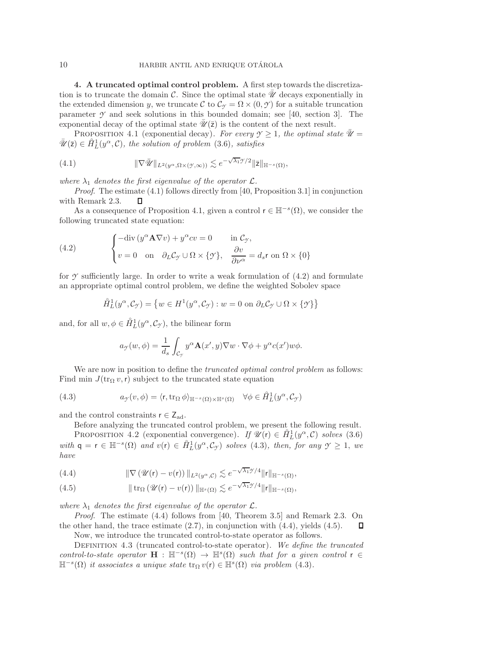<span id="page-9-0"></span>**4. A truncated optimal control problem.** A first step towards the discretization is to truncate the domain  $\mathcal C$ . Since the optimal state  $\mathcal U$  decays exponentially in the extended dimension y, we truncate C to  $\mathcal{C}_{\gamma} = \Omega \times (0, \mathcal{Y})$  for a suitable truncation parameter  $\gamma$  and seek solutions in this bounded domain; see [\[40,](#page-24-0) section 3]. The exponential decay of the optimal state  $\mathscr{U}(\bar{z})$  is the content of the next result.

<span id="page-9-2"></span><span id="page-9-1"></span>PROPOSITION 4.1 (exponential decay). For every  $\gamma \geq 1$ , the optimal state  $\mathcal{U} =$  $\bar{\mathscr{U}}(\bar{z}) \in \mathring{H}_L^1(y^\alpha, \mathcal{C})$ *, the solution of problem* [\(3.6\)](#page-8-0)*, satisfies* 

(4.1) 
$$
\|\nabla \overline{\mathscr{U}}\|_{L^2(y^{\alpha}, \Omega \times (\mathscr{Y}, \infty))} \lesssim e^{-\sqrt{\lambda_1}\mathscr{Y}/2} \|\overline{z}\|_{\mathbb{H}^{-s}(\Omega)},
$$

*where*  $\lambda_1$  *denotes the first eigenvalue of the operator*  $\mathcal{L}$ *.* 

*Proof*. The estimate [\(4.1\)](#page-9-1) follows directly from [\[40,](#page-24-0) Proposition 3.1] in conjunction with Remark [2.3.](#page-5-3) O

As a consequence of Proposition [4.1,](#page-9-2) given a control  $r \in \mathbb{H}^{-s}(\Omega)$ , we consider the following truncated state equation:

(4.2) 
$$
\begin{cases}\n-\text{div}\left(y^{\alpha}\mathbf{A}\nabla v\right) + y^{\alpha}cv = 0 & \text{in } C_{\mathcal{I}},\\
v = 0 & \text{on } \partial_L C_{\mathcal{I}} \cup \Omega \times \{\mathcal{I}\}, \quad \frac{\partial v}{\partial \nu^{\alpha}} = d_s r \text{ on } \Omega \times \{0\}\n\end{cases}
$$

for  $\gamma$  sufficiently large. In order to write a weak formulation of  $(4.2)$  and formulate an appropriate optimal control problem, we define the weighted Sobolev space

<span id="page-9-3"></span>
$$
\hat{H}_L^1(y^\alpha, \mathcal{C}_{\mathcal{Y}}) = \left\{ w \in H^1(y^\alpha, \mathcal{C}_{\mathcal{Y}}) : w = 0 \text{ on } \partial_L \mathcal{C}_{\mathcal{Y}} \cup \Omega \times \{\mathcal{Y}\} \right\}
$$

and, for all  $w, \phi \in \mathring{H}_L^1(y^\alpha, \mathcal{C}_{\mathcal{I}})$ , the bilinear form

<span id="page-9-4"></span>
$$
a_{\mathcal{F}}(w,\phi) = \frac{1}{d_s} \int_{\mathcal{C}_{\mathcal{F}}} y^{\alpha} \mathbf{A}(x',y) \nabla w \cdot \nabla \phi + y^{\alpha} c(x') w \phi.
$$

We are now in position to define the *truncated optimal control problem* as follows: Find min  $J(\text{tr}_{\Omega} v, r)$  subject to the truncated state equation

(4.3) 
$$
a_{\mathcal{I}}(v,\phi) = \langle r, \operatorname{tr}_{\Omega} \phi \rangle_{\mathbb{H}^{-s}(\Omega) \times \mathbb{H}^{s}(\Omega)} \quad \forall \phi \in \mathring{H}_L^1(y^{\alpha}, \mathcal{C}_{\mathcal{I}})
$$

and the control constraints  $r \in Z_{ad}$ .

Before analyzing the truncated control problem, we present the following result.

<span id="page-9-8"></span>PROPOSITION 4.2 (exponential convergence). *If*  $\mathscr{U}(r) \in \mathring{H}_L^1(y^\alpha, \mathcal{C})$  *solves* [\(3.6\)](#page-8-0) *with*  $q = r \in H^{-s}(\Omega)$  *and*  $v(r) \in \mathring{H}_L^1(y^{\alpha}, \mathcal{C}_{\mathcal{I}})$  *solves* [\(4.3\)](#page-9-4)*, then, for any*  $\mathcal{Y} \geq 1$ *, we have*

<span id="page-9-5"></span>(4.4) 
$$
\|\nabla (\mathscr{U}(\mathbf{r}) - v(\mathbf{r}))\|_{L^2(y^{\alpha}, \mathcal{C})} \lesssim e^{-\sqrt{\lambda_1} \mathscr{Y}/4} \|\mathbf{r}\|_{\mathbb{H}^{-s}(\Omega)},
$$

<span id="page-9-6"></span>(4.5) 
$$
\|\operatorname{tr}_{\Omega}(\mathscr{U}(\mathsf{r})-v(\mathsf{r}))\|_{\mathbb{H}^{s}(\Omega)}\lesssim e^{-\sqrt{\lambda_1}\mathscr{I}/4}\|\mathsf{r}\|_{\mathbb{H}^{-s}(\Omega)},
$$

*where*  $\lambda_1$  *denotes the first eigenvalue of the operator*  $\mathcal{L}$ *.* 

*Proof*. The estimate [\(4.4\)](#page-9-5) follows from [\[40,](#page-24-0) Theorem 3.5] and Remark [2.3.](#page-5-3) On the other hand, the trace estimate  $(2.7)$ , in conjunction with  $(4.4)$ , yields  $(4.5)$ .  $\Box$ 

Now, we introduce the truncated control-to-state operator as follows.

<span id="page-9-7"></span>Definition 4.3 (truncated control-to-state operator). *We define the truncated control-to-state operator*  $\mathbf{H} : \mathbb{H}^{-s}(\Omega) \to \mathbb{H}^{s}(\Omega)$  *such that for a given control*  $\mathbf{r} \in$  $\mathbb{H}^{-s}(\Omega)$  *it associates a unique state*  $\text{tr}_{\Omega} v(\mathbf{r}) \in \mathbb{H}^{s}(\Omega)$  *via problem* [\(4.3\)](#page-9-4).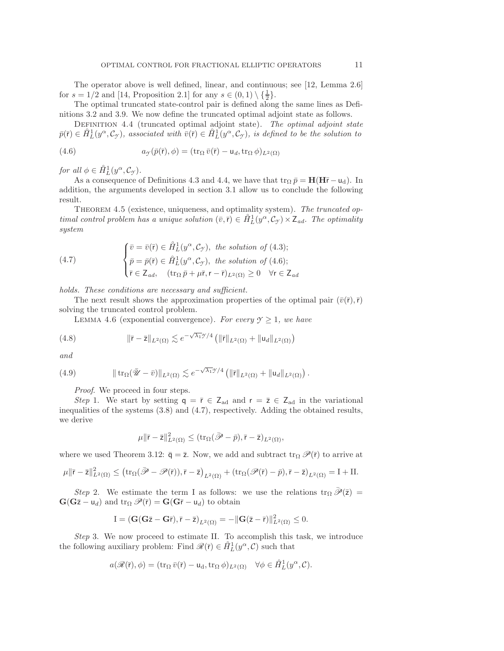The operator above is well defined, linear, and continuous; see [\[12,](#page-23-6) Lemma 2.6] for  $s = 1/2$  and [\[14,](#page-23-8) Proposition 2.1] for any  $s \in (0,1) \setminus {\frac{1}{2}}$ .

<span id="page-10-0"></span>The optimal truncated state-control pair is defined along the same lines as Definitions [3.2](#page-6-5) and [3.9.](#page-8-5) We now define the truncated optimal adjoint state as follows.

<span id="page-10-1"></span>Definition 4.4 (truncated optimal adjoint state). *The optimal adjoint state*  $\bar{p}(\bar{r}) \in \hat{H}_L^1(y^\alpha, C_\gamma)$ , associated with  $\bar{v}(\bar{r}) \in \hat{H}_L^1(y^\alpha, C_\gamma)$ , is defined to be the solution to

(4.6) 
$$
a_{\mathcal{I}}(\bar{p}(\bar{r}), \phi) = (\operatorname{tr}_{\Omega} \bar{v}(\bar{r}) - \mathsf{u}_d, \operatorname{tr}_{\Omega} \phi)_{L^2(\Omega)}
$$

*for all*  $\phi \in \mathring{H}_L^1(y^\alpha, \mathcal{C}_\mathcal{Y})$ *.* 

As a consequence of Definitions [4.3](#page-9-7) and [4.4,](#page-10-0) we have that  $\text{tr}_{\Omega} \bar{p} = H(H\bar{r} - u_d)$ . In addition, the arguments developed in section [3.1](#page-5-0) allow us to conclude the following result.

Theorem 4.5 (existence, uniqueness, and optimality system). *The truncated optimal control problem has a unique solution*  $(\bar{v}, \bar{r}) \in \hat{H}_L^1(y^\alpha, C_\gamma) \times Z_{ad}$ *. The optimality*<br>system *system*

<span id="page-10-2"></span>(4.7) 
$$
\begin{cases} \bar{v} = \bar{v}(\bar{r}) \in \mathring{H}_L^1(y^\alpha, \mathcal{C}_\mathcal{Y}), \text{ the solution of (4.3)}; \\ \bar{p} = \bar{p}(\bar{r}) \in \mathring{H}_L^1(y^\alpha, \mathcal{C}_\mathcal{Y}), \text{ the solution of (4.6)}; \\ \bar{r} \in Z_{ad}, \quad (\text{tr}_\Omega \bar{p} + \mu \bar{r}, r - \bar{r})_{L^2(\Omega)} \ge 0 \quad \forall r \in Z_{ad} \end{cases}
$$

*holds. These conditions are necessary and sufficient.*

<span id="page-10-5"></span>The next result shows the approximation properties of the optimal pair  $(\bar{v}(\bar{r}),\bar{r})$ solving the truncated control problem.

LEMMA 4.6 (exponential convergence). *For every*  $\mathcal{Y} \geq 1$ *, we have* 

(4.8) 
$$
\|\bar{\mathbf{r}} - \bar{\mathbf{z}}\|_{L^2(\Omega)} \lesssim e^{-\sqrt{\lambda_1}\mathcal{Y}/4} \left( \|\bar{\mathbf{r}}\|_{L^2(\Omega)} + \|u_d\|_{L^2(\Omega)} \right)
$$

<span id="page-10-4"></span>*and*

(4.9) 
$$
\|\operatorname{tr}_{\Omega}(\bar{\mathscr{U}}-\bar{v})\|_{L^2(\Omega)} \lesssim e^{-\sqrt{\lambda_1}\mathscr{Y}/4} \left(\|\bar{r}\|_{L^2(\Omega)} + \|u_d\|_{L^2(\Omega)}\right).
$$

*Proof*. We proceed in four steps.

*Step* 1. We start by setting  $q = \bar{r} \in Z_{ad}$  and  $r = \bar{z} \in Z_{ad}$  in the variational inequalities of the systems [\(3.8\)](#page-8-6) and [\(4.7\)](#page-10-2), respectively. Adding the obtained results, we derive

<span id="page-10-3"></span>
$$
\mu \|\bar{\mathbf{r}} - \bar{\mathbf{z}}\|_{L^2(\Omega)}^2 \leq (\operatorname{tr}_{\Omega}(\bar{\mathscr{P}} - \bar{p}), \bar{\mathbf{r}} - \bar{\mathbf{z}})_{L^2(\Omega)},
$$

where we used Theorem [3.12:](#page-8-7)  $\bar{q} = \bar{z}$ . Now, we add and subtract tr<sub>Ω</sub>  $\mathscr{P}(\bar{r})$  to arrive at

$$
\mu \|\overline{\mathbf{r}}-\overline{\mathbf{z}}\|^2_{L^2(\Omega)} \leq \big(\mathrm{tr}_\Omega(\bar{\mathscr{P}}-\mathscr{P}(\overline{\mathbf{r}})), \overline{\mathbf{r}}-\overline{\mathbf{z}}\big)_{L^2(\Omega)} + \big(\mathrm{tr}_\Omega(\mathscr{P}(\overline{\mathbf{r}})-\bar{p}), \overline{\mathbf{r}}-\overline{\mathbf{z}}\big)_{L^2(\Omega)} = \mathrm{I} + \mathrm{II}.
$$

*Step* 2. We estimate the term I as follows: we use the relations  $\text{tr}_{\Omega} \overline{\mathscr{P}}(\overline{z}) =$  $\mathbf{G}(\mathbf{G}\bar{z} - \mathbf{u}_d)$  and  $\operatorname{tr}_{\Omega} \mathscr{P}(\bar{r}) = \mathbf{G}(\mathbf{G}\bar{r} - \mathbf{u}_d)$  to obtain

$$
I=(\mathbf{G}(\mathbf{G}\bar{z}-\mathbf{G}\bar{r}),\bar{r}-\bar{z})_{\textbf{L}^2(\Omega)}=-\|\mathbf{G}(\bar{z}-\bar{r})\|_{\textbf{L}^2(\Omega)}^2\leq 0.
$$

*Step* 3. We now proceed to estimate II. To accomplish this task, we introduce the following auxiliary problem: Find  $\mathscr{R}(\bar{r}) \in \hat{H}_L^1(y^{\alpha}, \mathcal{C})$  such that

$$
a(\mathscr{R}(\bar{r}),\phi) = (\operatorname{tr}_{\Omega} \bar{v}(\bar{r}) - \mathsf{u}_{d}, \operatorname{tr}_{\Omega} \phi)_{L^{2}(\Omega)} \quad \forall \phi \in \mathring{H}_{L}^{1}(y^{\alpha}, \mathcal{C}).
$$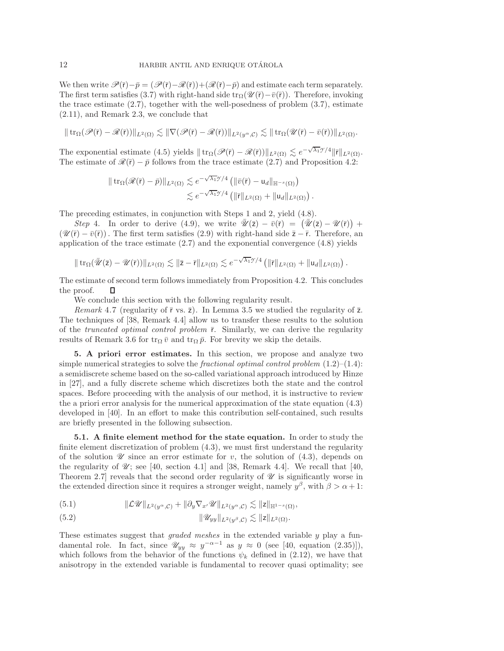We then write  $\mathscr{P}(\bar{r})-\bar{p}=(\mathscr{P}(\bar{r})-\mathscr{R}(\bar{r}))+(\mathscr{R}(\bar{r})-\bar{p})$  and estimate each term separately. The first term satisfies [\(3.7\)](#page-8-3) with right-hand side tr<sub>Ω</sub>( $\mathscr{U}(\bar{r})-\bar{v}(\bar{r})$ ). Therefore, invoking the trace estimate  $(2.7)$ , together with the well-posedness of problem  $(3.7)$ , estimate [\(2.11\)](#page-5-5), and Remark [2.3,](#page-5-3) we conclude that

$$
\|\operatorname{tr}_{\Omega}(\mathscr{P}(\bar{r})-\mathscr{R}(\bar{r}))\|_{L^{2}(\Omega)} \lesssim \|\nabla(\mathscr{P}(\bar{r})-\mathscr{R}(\bar{r}))\|_{L^{2}(y^{\alpha},\mathcal{C})} \lesssim \|\operatorname{tr}_{\Omega}(\mathscr{U}(\bar{r})-\bar{v}(\bar{r}))\|_{L^{2}(\Omega)}.
$$

The exponential estimate [\(4.5\)](#page-9-6) yields  $|| \text{tr}_{\Omega}(\mathcal{P}(\bar{r}) - \mathcal{R}(\bar{r})) ||_{L^2(\Omega)} \lesssim e^{-\sqrt{\lambda_1}\mathcal{I}/4} ||\bar{r}||_{L^2(\Omega)}$ .<br>The estimate of  $\mathcal{R}(\bar{r}) = \bar{r}$  follows from the trace estimate (2.7) and Proposition 4.2. The estimate of  $\mathcal{R}(\bar{r}) - \bar{p}$  follows from the trace estimate [\(2.7\)](#page-4-3) and Proposition [4.2:](#page-9-8)

$$
\|\operatorname{tr}_{\Omega}(\mathscr{R}(\bar{r})-\bar{p})\|_{L^{2}(\Omega)} \lesssim e^{-\sqrt{\lambda_{1}}\mathscr{D}/4} \left( \|\bar{v}(\bar{r})-u_{d}\|_{\mathbb{H}^{-s}(\Omega)} \right) \leq e^{-\sqrt{\lambda_{1}}\mathscr{D}/4} \left( \|\bar{r}\|_{L^{2}(\Omega)} + \|u_{d}\|_{L^{2}(\Omega)} \right).
$$

The preceding estimates, in conjunction with Steps 1 and 2, yield [\(4.8\)](#page-10-3).

*Step* 4. In order to derive [\(4.9\)](#page-10-4), we write  $\overline{\Psi}(\overline{z}) - \overline{v}(\overline{r}) = (\overline{\Psi}(\overline{z}) - \Psi(\overline{r})) + \overline{v}(-\overline{v}(\overline{r}))$ . The first term satisfies (2.9) with right-hand side  $\overline{z} - \overline{r}$ . Therefore, an  $(\mathscr{U}(\bar{r}) - \bar{v}(\bar{r}))$ . The first term satisfies [\(2.9\)](#page-5-4) with right-hand side  $\bar{z} - \bar{r}$ . Therefore, an application of the trace estimate  $(2.7)$  and the exponential convergence  $(4.8)$  yields

$$
\|\operatorname{tr}_{\Omega}(\bar{\mathscr{U}}(\bar{z})-\mathscr{U}(\bar{r}))\|_{L^2(\Omega)}\lesssim \|\bar{z}-\bar{r}\|_{L^2(\Omega)}\lesssim e^{-\sqrt{\lambda_1}\mathscr{I}/4}\left(\|\bar{r}\|_{L^2(\Omega)}+\|u_d\|_{L^2(\Omega)}\right).
$$

The estimate of second term follows immediately from Proposition [4.2.](#page-9-8) This concludes the proof. П

We conclude this section with the following regularity result.

<span id="page-11-4"></span>*Remark* 4.7 (regularity of  $\bar{r}$  vs.  $\bar{z}$ ). In Lemma [3.5](#page-7-4) we studied the regularity of  $\bar{z}$ . The techniques of [\[38,](#page-24-2) Remark 4.4] allow us to transfer these results to the solution of the *truncated optimal control problem* ¯r. Similarly, we can derive the regularity results of Remark [3.6](#page-7-5) for  $tr_{\Omega} \bar{v}$  and  $tr_{\Omega} \bar{p}$ . For brevity we skip the details.

<span id="page-11-0"></span>**5. A priori error estimates.** In this section, we propose and analyze two simple numerical strategies to solve the *fractional optimal control problem* [\(1.2\)](#page-0-0)–[\(1.4\)](#page-0-1): a semidiscrete scheme based on the so-called variational approach introduced by Hinze in [\[27\]](#page-23-13), and a fully discrete scheme which discretizes both the state and the control spaces. Before proceeding with the analysis of our method, it is instructive to review the a priori error analysis for the numerical approximation of the state equation [\(4.3\)](#page-9-4) developed in [\[40\]](#page-24-0). In an effort to make this contribution self-contained, such results are briefly presented in the following subsection.

<span id="page-11-1"></span>**5.1. A finite element method for the state equation.** In order to study the finite element discretization of problem [\(4.3\)](#page-9-4), we must first understand the regularity of the solution  $\mathscr U$  since an error estimate for v, the solution of  $(4.3)$ , depends on the regularity of  $\mathcal{U}$ ; see [\[40,](#page-24-0) section 4.1] and [\[38,](#page-24-2) Remark 4.4]. We recall that [40, Theorem 2.7] reveals that the second order regularity of *U* is significantly worse in the extended direction since it requires a stronger weight, namely  $y^{\beta}$ , with  $\beta > \alpha + 1$ :

<span id="page-11-2"></span>
$$
(5.1) \t\t\t\|\mathcal{L}\mathscr{U}\|_{L^2(y^{\alpha},\mathcal{C})}+\|\partial_y\nabla_{x'}\mathscr{U}\|_{L^2(y^{\alpha},\mathcal{C})}\lesssim \|z\|_{\mathbb{H}^{1-s}(\Omega)},
$$

<span id="page-11-3"></span>(5.2) 
$$
\|\mathscr{U}_{yy}\|_{L^2(y^\beta,\mathcal{C})} \lesssim \|z\|_{L^2(\Omega)}.
$$

These estimates suggest that *graded meshes* in the extended variable y play a fundamental role. In fact, since  $\mathscr{U}_{yy} \approx y^{-\alpha-1}$  as  $y \approx 0$  (see [\[40,](#page-24-0) equation (2.35)]), which follows from the behavior of the functions  $\psi_k$  defined in [\(2.12\)](#page-5-6), we have that anisotropy in the extended variable is fundamental to recover quasi optimality; see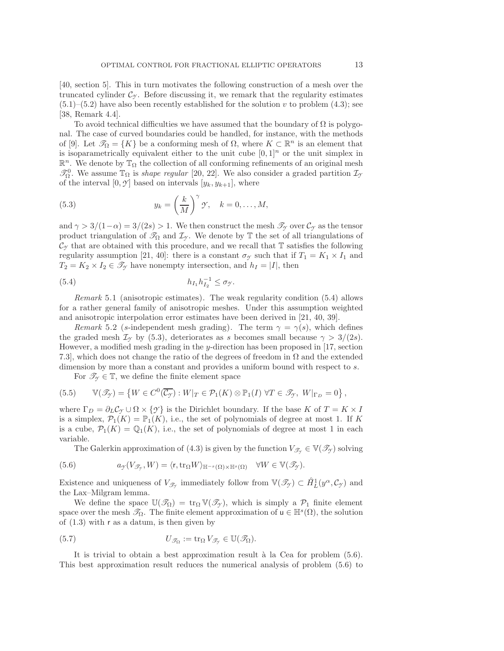[\[40,](#page-24-0) section 5]. This in turn motivates the following construction of a mesh over the truncated cylinder  $\mathcal{C}_{\gamma}$ . Before discussing it, we remark that the regularity estimates  $(5.1)$ – $(5.2)$  have also been recently established for the solution v to problem  $(4.3)$ ; see [\[38,](#page-24-2) Remark 4.4].

To avoid technical difficulties we have assumed that the boundary of  $\Omega$  is polygonal. The case of curved boundaries could be handled, for instance, with the methods of [\[9\]](#page-22-6). Let  $\mathcal{T}_{\Omega} = \{K\}$  be a conforming mesh of  $\Omega$ , where  $K \subset \mathbb{R}^n$  is an element that is isoparametrically equivalent either to the unit cube  $[0, 1]^n$  or the unit simplex in  $\mathbb{R}^n$ . We denote by  $\mathbb{T}_{\Omega}$  the collection of all conforming refinements of an original mesh  $\mathcal{T}_{\Omega}^0$ . We assume  $\mathbb{T}_{\Omega}$  is *shape regular* [\[20,](#page-23-19) [22\]](#page-23-20). We also consider a graded partition  $\mathcal{I}_{\Omega}$ of the interval  $[0, \mathcal{Y}]$  based on intervals  $[y_k, y_{k+1}]$ , where

<span id="page-12-1"></span>(5.3) 
$$
y_k = \left(\frac{k}{M}\right)^{\gamma} \gamma, \quad k = 0, \dots, M,
$$

and  $\gamma > 3/(1-\alpha) = 3/(2s) > 1$ . We then construct the mesh  $\mathscr{T}_{\gamma}$  over  $\mathcal{C}_{\gamma}$  as the tensor product triangulation of  $\mathcal{T}_{\Omega}$  and  $\mathcal{I}_{\gamma}$ . We denote by  $\mathbb{T}$  the set of all triangulations of  $\mathcal{C}_{\gamma}$  that are obtained with this procedure, and we recall that  $\mathbb T$  satisfies the following regularity assumption [\[21,](#page-23-21) [40\]](#page-24-0): there is a constant  $\sigma_y$  such that if  $T_1 = K_1 \times I_1$  and  $T_2 = K_2 \times I_2 \in \mathcal{I}_{\mathcal{Y}}$  have nonempty intersection, and  $h_I = |I|$ , then

<span id="page-12-0"></span>(5.4) 
$$
h_{I_1}h_{I_2}^{-1} \leq \sigma_{\mathcal{Y}}.
$$

*Remark* 5.1 (anisotropic estimates). The weak regularity condition [\(5.4\)](#page-12-0) allows for a rather general family of anisotropic meshes. Under this assumption weighted and anisotropic interpolation error estimates have been derived in [\[21,](#page-23-21) [40,](#page-24-0) [39\]](#page-24-7).

*Remark* 5.2 (s-independent mesh grading). The term  $\gamma = \gamma(s)$ , which defines the graded mesh  $\mathcal{I}_{\gamma}$  by [\(5.3\)](#page-12-1), deteriorates as s becomes small because  $\gamma > 3/(2s)$ . However, a modified mesh grading in the y-direction has been proposed in  $[17, \text{section}]$  $[17, \text{section}]$ 7.3], which does not change the ratio of the degrees of freedom in  $\Omega$  and the extended dimension by more than a constant and provides a uniform bound with respect to  $s$ .

<span id="page-12-4"></span>For  $\mathscr{T}_{\gamma} \in \mathbb{T}$ , we define the finite element space

(5.5) 
$$
\mathbb{V}(\mathscr{T}_{\mathcal{Y}}) = \left\{ W \in C^0(\overline{\mathcal{C}_{\mathcal{Y}}}) : W|_{T} \in \mathcal{P}_1(K) \otimes \mathbb{P}_1(I) \; \forall T \in \mathscr{T}_{\mathcal{Y}}, \; W|_{\Gamma_D} = 0 \right\},
$$

where  $\Gamma_D = \partial_L C_\gamma \cup \Omega \times \{\gamma\}$  is the Dirichlet boundary. If the base K of  $T = K \times I$ is a simplex,  $\mathcal{P}_1(K) = \mathbb{P}_1(K)$ , i.e., the set of polynomials of degree at most 1. If K is a cube,  $\mathcal{P}_1(K) = \mathbb{Q}_1(K)$ , i.e., the set of polynomials of degree at most 1 in each variable.

<span id="page-12-2"></span>The Galerkin approximation of [\(4.3\)](#page-9-4) is given by the function  $V_{\mathscr{T}_{\gamma}} \in V(\mathscr{T}_{\gamma})$  solving

(5.6) 
$$
a_{\mathcal{Y}}(V_{\mathscr{T}_{\mathcal{Y}}}, W) = \langle \mathbf{r}, \operatorname{tr}_{\Omega} W \rangle_{\mathbb{H}^{-s}(\Omega) \times \mathbb{H}^{s}(\Omega)} \quad \forall W \in \mathbb{V}(\mathscr{T}_{\mathcal{Y}}).
$$

Existence and uniqueness of  $V_{\mathscr{T}_{\mathcal{T}}}$  immediately follow from  $\mathbb{V}(\mathscr{T}_{\mathcal{T}}) \subset \mathring{H}_L^1(y^{\alpha}, \mathcal{C}_{\mathcal{T}})$  and the Lax–Milgram lemma.

We define the space  $\mathbb{U}(\mathscr{T}_{\Omega}) = \text{tr}_{\Omega} \mathbb{V}(\mathscr{T}_{\gamma})$ , which is simply a  $\mathcal{P}_1$  finite element space over the mesh  $\mathcal{T}_{\Omega}$ . The finite element approximation of  $u \in \mathbb{H}^{s}(\Omega)$ , the solution of [\(1.3\)](#page-0-2) with r as a datum, is then given by

<span id="page-12-3"></span>(5.7) 
$$
U_{\mathscr{T}_{\Omega}} := \operatorname{tr}_{\Omega} V_{\mathscr{T}_{\gamma}} \in \mathbb{U}(\mathscr{T}_{\Omega}).
$$

It is trivial to obtain a best approximation result à la Cea for problem  $(5.6)$ . This best approximation result reduces the numerical analysis of problem [\(5.6\)](#page-12-2) to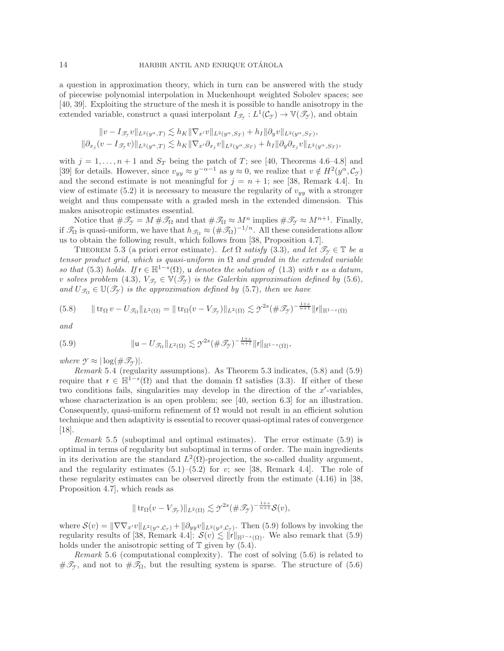a question in approximation theory, which in turn can be answered with the study of piecewise polynomial interpolation in Muckenhoupt weighted Sobolev spaces; see [\[40,](#page-24-0) [39\]](#page-24-7). Exploiting the structure of the mesh it is possible to handle anisotropy in the extended variable, construct a quasi interpolant  $I_{\mathscr{T}_{\gamma}}: L^1(\mathcal{C}_{\gamma}) \to \mathbb{V}(\mathscr{T}_{\gamma})$ , and obtain

$$
\|v-I_{\mathscr{T}_{\mathscr{T}}}v\|_{L^2(y^\alpha,T)}\lesssim h_K\|\nabla_{x'}v\|_{L^2(y^\alpha,S_T)}+h_I\|\partial_yv\|_{L^2(y^\alpha,S_T)},\\ \|\partial_{x_j}(v-I_{\mathscr{T}_{\mathscr{T}}}v)\|_{L^2(y^\alpha,T)}\lesssim h_K\|\nabla_{x'}\partial_{x_j}v\|_{L^2(y^\alpha,S_T)}+h_I\|\partial_y\partial_{x_j}v\|_{L^2(y^\alpha,S_T)},
$$

with  $j = 1, ..., n + 1$  and  $S_T$  being the patch of T; see [\[40,](#page-24-0) Theorems 4.6–4.8] and [\[39\]](#page-24-7) for details. However, since  $v_{yy} \approx y^{-\alpha-1}$  as  $y \approx 0$ , we realize that  $v \notin H^2(y^\alpha, C_\gamma)$ and the second estimate is not meaningful for  $j = n + 1$ ; see [\[38,](#page-24-2) Remark 4.4]. In view of estimate [\(5.2\)](#page-11-3) it is necessary to measure the regularity of  $v_{yy}$  with a stronger weight and thus compensate with a graded mesh in the extended dimension. This makes anisotropic estimates essential.

Notice that  $\#\mathscr{T}_{\mathcal{I}} = M \#\mathscr{T}_{\Omega}$  and that  $\#\mathscr{T}_{\Omega} \approx M^n$  implies  $\#\mathscr{T}_{\mathcal{I}} \approx M^{n+1}$ . Finally, if  $\mathcal{T}_{\Omega}$  is quasi-uniform, we have that  $h_{\mathcal{T}_{\Omega}} \approx (\#\mathcal{T}_{\Omega})^{-1/n}$ . All these considerations allow us to obtain the following result, which follows from [\[38,](#page-24-2) Proposition 4.7].

<span id="page-13-0"></span>THEOREM 5.3 (a priori error estimate). Let  $\Omega$  *satisfy* [\(3.3\)](#page-6-3)*, and let*  $\mathscr{T}_{\gamma} \in \mathbb{T}$  *be a tensor product grid, which is quasi-uniform in* Ω *and graded in the extended variable so that* [\(5.3\)](#page-12-1) *holds.* If  $r \in \mathbb{H}^{1-s}(\Omega)$ , u *denotes the solution of* [\(1.3\)](#page-0-2) *with* r *as a datum*, *v* solves problem [\(4.3\)](#page-9-4),  $V_{\mathscr{T}_{\gamma}} \in V(\mathscr{T}_{\gamma})$  is the Galerkin approximation defined by [\(5.6\)](#page-12-2), and  $U_{\mathscr{T}_{\Omega}} \in \mathbb{U}(\mathscr{T}_{\gamma})$  *is the approximation defined by* [\(5.7\)](#page-12-3)*, then we have* 

<span id="page-13-1"></span>
$$
(5.8) \qquad \|\operatorname{tr}_{\Omega} v - U_{\mathscr{T}_{\Omega}}\|_{L^{2}(\Omega)} = \|\operatorname{tr}_{\Omega} (v - V_{\mathscr{T}_{\mathscr{T}}})\|_{L^{2}(\Omega)} \lesssim \mathscr{T}^{2s} (\#\mathscr{T}_{\mathscr{T}})^{-\frac{1+s}{n+1}} \|\mathbf{r}\|_{\mathbb{H}^{1-s}(\Omega)}
$$

<span id="page-13-2"></span>*and*

(5.9) 
$$
\| \mathbf{u} - U_{\mathscr{T}_{\Omega}} \|_{L^2(\Omega)} \lesssim \mathcal{I}^{2s} (\# \mathscr{T}_{\mathcal{I}})^{-\frac{1+s}{n+1}} \| \mathbf{r} \|_{\mathbb{H}^{1-s}(\Omega)},
$$

<span id="page-13-3"></span>*where*  $\mathcal{Y} \approx |\log(\#\mathscr{T}_{\mathcal{Y}})|$ *.* 

*Remark* 5.4 (regularity assumptions). As Theorem [5.3](#page-13-0) indicates, [\(5.8\)](#page-13-1) and [\(5.9\)](#page-13-2) require that  $r \in H^{1-s}(\Omega)$  and that the domain  $\Omega$  satisfies [\(3.3\)](#page-6-3). If either of these two conditions fails, singularities may develop in the direction of the  $x'$ -variables, whose characterization is an open problem; see [\[40,](#page-24-0) section 6.3] for an illustration. Consequently, quasi-uniform refinement of  $\Omega$  would not result in an efficient solution technique and then adaptivity is essential to recover quasi-optimal rates of convergence [\[18\]](#page-23-23).

*Remark* 5.5 (suboptimal and optimal estimates). The error estimate [\(5.9\)](#page-13-2) is optimal in terms of regularity but suboptimal in terms of order. The main ingredients in its derivation are the standard  $L^2(\Omega)$ -projection, the so-called duality argument, and the regularity estimates  $(5.1)$ – $(5.2)$  for v; see [\[38,](#page-24-2) Remark 4.4]. The role of these regularity estimates can be observed directly from the estimate (4.16) in [\[38,](#page-24-2) Proposition 4.7], which reads as

$$
\|\operatorname{tr}_{\Omega}(v-V_{\mathscr{T}_{\mathscr{T}}})\|_{L^{2}(\Omega)} \lesssim \mathscr{T}^{2s}(\#\mathscr{T}_{\mathscr{T}})^{-\frac{1+s}{n+1}}\mathcal{S}(v),
$$

where  $\mathcal{S}(v) = \|\nabla \nabla_{x'} v\|_{L^2(y^\alpha, \mathcal{C}_{\gamma})} + \|\partial_{yy} v\|_{L^2(y^\beta, \mathcal{C}_{\gamma})}$ . Then [\(5.9\)](#page-13-2) follows by invoking the regularity results of [\[38,](#page-24-2) Remark 4.4]:  $S(v) \lesssim ||f||_{\mathbb{H}^{1-s}(\Omega)}$ . We also remark that [\(5.9\)](#page-13-2) holds under the anisotronic setting of  $\mathbb{T}$  given by (5.4) holds under the anisotropic setting of  $\mathbb T$  given by [\(5.4\)](#page-12-0).

*Remark* 5.6 (computational complexity). The cost of solving [\(5.6\)](#page-12-2) is related to  $\#\mathscr{T}_{\gamma}$ , and not to  $\#\mathscr{T}_{\Omega}$ , but the resulting system is sparse. The structure of [\(5.6\)](#page-12-2)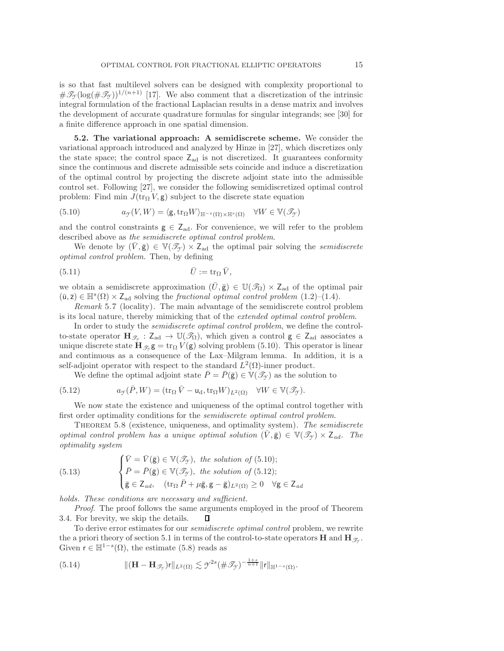is so that fast multilevel solvers can be designed with complexity proportional to  $\#\mathscr{T}_{\gamma}(\log(\#\mathscr{T}_{\gamma}))^{1/(n+1)}$  [\[17\]](#page-23-22). We also comment that a discretization of the intrinsic integral formulation of the fractional Laplacian results in a dense matrix and involves the development of accurate quadrature formulas for singular integrands; see [\[30\]](#page-23-24) for a finite difference approach in one spatial dimension.

<span id="page-14-0"></span>**5.2. The variational approach: A semidiscrete scheme.** We consider the variational approach introduced and analyzed by Hinze in [\[27\]](#page-23-13), which discretizes only the state space; the control space  $Z_{ad}$  is not discretized. It guarantees conformity since the continuous and discrete admissible sets coincide and induce a discretization of the optimal control by projecting the discrete adjoint state into the admissible control set. Following [\[27\]](#page-23-13), we consider the following semidiscretized optimal control problem: Find min  $J(\text{tr}_{\Omega} V, \mathbf{g})$  subject to the discrete state equation

<span id="page-14-1"></span>(5.10) 
$$
a_{\mathcal{I}}(V,W) = \langle \mathbf{g}, \text{tr}_{\Omega} W \rangle_{\mathbb{H}^{-s}(\Omega) \times \mathbb{H}^{s}(\Omega)} \quad \forall W \in \mathbb{V}(\mathcal{I}_{\mathcal{I}})
$$

and the control constraints  $g \in Z_{ad}$ . For convenience, we will refer to the problem described above as *the semidiscrete optimal control problem*.

<span id="page-14-5"></span>We denote by  $(\overline{V}, \overline{\mathbf{g}}) \in \mathbb{V}(\mathscr{T}_{\gamma}) \times \mathbb{Z}_{ad}$  the optimal pair solving the *semidiscrete optimal control problem*. Then, by defining

$$
\bar{U} := \operatorname{tr}_{\Omega} \bar{V},
$$

we obtain a semidiscrete approximation  $(\bar{U}, \bar{g}) \in \mathbb{U}(\mathcal{I}_{\Omega}) \times Z_{ad}$  of the optimal pair  $(\bar{u}, \bar{z}) \in \mathbb{H}^s(\Omega) \times Z_{ad}$  solving the *fractional optimal control problem*  $(1.2)$ – $(1.4)$ .

*Remark* 5.7 (locality). The main advantage of the semidiscrete control problem is its local nature, thereby mimicking that of the *extended optimal control problem*.

In order to study the *semidiscrete optimal control problem*, we define the controlto-state operator  $\mathbf{H}_{\mathscr{T}_{\gamma}} : \mathsf{Z}_{ad} \to \mathbb{U}(\mathscr{T}_{\Omega})$ , which given a control  $g \in \mathsf{Z}_{ad}$  associates a unique discrete state  $\mathbf{H}_{\mathscr{T}_{\alpha}}\mathbf{g} = \text{tr}_{\Omega} V(\mathbf{g})$  solving problem [\(5.10\)](#page-14-1). This operator is linear and continuous as a consequence of the Lax–Milgram lemma. In addition, it is a self-adjoint operator with respect to the standard  $L^2(\Omega)$ -inner product.

<span id="page-14-2"></span>We define the optimal adjoint state  $\bar{P} = \bar{P}(\bar{g}) \in V(\mathscr{T}_{\gamma})$  as the solution to

(5.12) 
$$
a_{\mathcal{Y}}(\bar{P}, W) = (\text{tr}_{\Omega} \bar{V} - \mathsf{u}_{d}, \text{tr}_{\Omega} W)_{L^{2}(\Omega)} \quad \forall W \in \mathbb{V}(\mathscr{T}_{\mathcal{Y}}).
$$

We now state the existence and uniqueness of the optimal control together with first order optimality conditions for the *semidiscrete optimal control problem*.

Theorem 5.8 (existence, uniqueness, and optimality system). *The semidiscrete optimal control problem has a unique optimal solution*  $(\bar{V}, \bar{g}) \in V(\mathcal{T}_{\gamma}) \times Z_{ad}$ *. The optimality system*

<span id="page-14-4"></span>(5.13) 
$$
\begin{cases} \bar{V} = \bar{V}(\bar{\mathbf{g}}) \in \mathbb{V}(\mathcal{I}_{\mathcal{I}}), \text{ the solution of (5.10)}; \\ \bar{P} = \bar{P}(\bar{\mathbf{g}}) \in \mathbb{V}(\mathcal{I}_{\mathcal{I}}), \text{ the solution of (5.12)}; \\ \bar{\mathbf{g}} \in \mathbb{Z}_{ad}, \quad (\text{tr}_{\Omega} \bar{P} + \mu \bar{\mathbf{g}}, \mathbf{g} - \bar{\mathbf{g}})_{L^2(\Omega)} \ge 0 \quad \forall \mathbf{g} \in \mathbb{Z}_{ad} \end{cases}
$$

*holds. These conditions are necessary and sufficient.*

*Proof*. The proof follows the same arguments employed in the proof of Theorem [3.4.](#page-6-4) For brevity, we skip the details. п

To derive error estimates for our *semidiscrete optimal control* problem, we rewrite the a priori theory of section [5.1](#page-11-1) in terms of the control-to-state operators **H** and  $\mathbf{H}_{\mathscr{T}_{\gamma}}$ . Given  $r \in \mathbb{H}^{1-s}(\Omega)$ , the estimate [\(5.8\)](#page-13-1) reads as

<span id="page-14-3"></span>(5.14) 
$$
\|(\mathbf{H}-\mathbf{H}_{\mathscr{T}_{\mathcal{Y}}})r\|_{L^{2}(\Omega)} \lesssim \mathcal{Y}^{2s}(\#\mathscr{T}_{\mathcal{Y}})^{-\frac{1+s}{n+1}}\|r\|_{\mathbb{H}^{1-s}(\Omega)}.
$$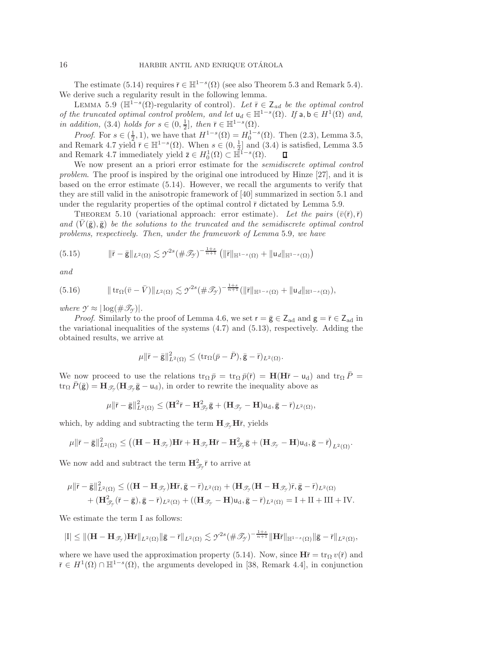The estimate [\(5.14\)](#page-14-3) requires  $\bar{r} \in \mathbb{H}^{1-s}(\Omega)$  (see also Theorem [5.3](#page-13-0) and Remark [5.4\)](#page-13-3). We derive such a regularity result in the following lemma.

<span id="page-15-0"></span>LEMMA 5.9 ( $\mathbb{H}^{1-s}(\Omega)$ -regularity of control). Let  $\overline{r} \in Z_{ad}$  *be the optimal control of the truncated optimal control problem, and let*  $u_d \in \mathbb{H}^{1-s}(\Omega)$ *. If*  $a, b \in H^1(\Omega)$  *and, in addition,* [\(3.4\)](#page-6-2) *holds for*  $s \in (0, \frac{1}{2}]$ *, then*  $\bar{r} \in \mathbb{H}^{1-s}(\Omega)$ .<br>*Proof* For  $s \in (1, 1)$  we have that  $H^{1-s}(\Omega) = H^{1-s}$ .

*Proof.* For  $s \in (\frac{1}{2}, 1)$ , we have that  $H^{1-s}(\Omega) = H_0^{1-s}(\Omega)$ . Then  $(2.3)$ , Lemma [3.5,](#page-7-4) and Remark [4.7](#page-11-4) yield  $\overline{r} \in \mathbb{H}^{1-s}(\Omega)$ . When  $s \in (0, \frac{1}{2}]$  and  $(3.4)$  is satisfied, Lemma [3.5](#page-7-4) and Remark [4.7](#page-11-4) immediately yield  $\overline{z} \in H_0^1(\Omega) \subset \overline{\mathbb{H}}^{1-s}(\Omega)$ .<br>We now present an a priori error estimate for the set  $\Box$ 

We now present an a priori error estimate for the *semidiscrete optimal control problem*. The proof is inspired by the original one introduced by Hinze [\[27\]](#page-23-13), and it is based on the error estimate [\(5.14\)](#page-14-3). However, we recall the arguments to verify that they are still valid in the anisotropic framework of [\[40\]](#page-24-0) summarized in section [5.1](#page-11-1) and under the regularity properties of the optimal control  $\bar{r}$  dictated by Lemma [5.9.](#page-15-0)

<span id="page-15-3"></span>THEOREM 5.10 (variational approach: error estimate). Let the pairs  $(\bar{v}(\bar{r}), \bar{r})$ *and*  $(V(\bar{g}), \bar{g})$  *be the solutions to the truncated and the semidiscrete optimal control problems, respectively. Then, under the framework of Lemma* [5.9](#page-15-0)*, we have*

(5.15) 
$$
\|\bar{\mathbf{r}}-\bar{\mathbf{g}}\|_{L^2(\Omega)} \lesssim \mathcal{Y}^{2s}(\#\mathscr{T}_{\mathscr{Y}})^{-\frac{1+s}{n+1}} \left( \|\bar{\mathbf{r}}\|_{\mathbb{H}^{1-s}(\Omega)} + \|\mathbf{u}_d\|_{\mathbb{H}^{1-s}(\Omega)} \right)
$$

<span id="page-15-2"></span>*and*

(5.16) trΩ(¯v − V¯ )<sup>L</sup>2(Ω) - *<sup>Y</sup>* <sup>2</sup><sup>s</sup>(#*T<sup>Y</sup>* ) <sup>−</sup> 1+<sup>s</sup> <sup>n</sup>+1 (¯rH1−s(Ω) <sup>+</sup> u*<sup>d</sup>*H1−s(Ω)),

*where*  $\mathcal{Y} \approx |\log(\#\mathscr{T}_{\mathscr{Y}})|$ *.* 

*Proof.* Similarly to the proof of Lemma [4.6,](#page-10-5) we set  $r = \bar{g} \in Z_{ad}$  and  $g = \bar{r} \in Z_{ad}$  in the variational inequalities of the systems [\(4.7\)](#page-10-2) and [\(5.13\)](#page-14-4), respectively. Adding the obtained results, we arrive at

<span id="page-15-1"></span>
$$
\mu \|\bar{\mathbf{r}} - \bar{\mathbf{g}}\|_{L^2(\Omega)}^2 \leq (\operatorname{tr}_{\Omega}(\bar{p} - \bar{P}), \bar{\mathbf{g}} - \bar{\mathbf{r}})_{L^2(\Omega)}.
$$

We now proceed to use the relations  $\text{tr}_{\Omega} \bar{p} = \text{tr}_{\Omega} \bar{p}(\bar{r}) = \mathbf{H}(\mathbf{H}\bar{r} - \mathbf{u}_{d})$  and  $\text{tr}_{\Omega} \bar{P} =$  $\text{tr}_{\Omega} P(\bar{\mathbf{g}}) = \mathbf{H}_{\mathscr{T}_{\gamma}} (\mathbf{H}_{\mathscr{T}_{\gamma}} \bar{\mathbf{g}} - \mathbf{u}_{\mathbf{d}}),$  in order to rewrite the inequality above as

$$
\mu \|\bar{\mathbf{r}} - \bar{\mathbf{g}}\|_{L^2(\Omega)}^2 \leq (\mathbf{H}^2 \bar{\mathbf{r}} - \mathbf{H}_{\mathscr{T}_{\mathcal{T}}}^2 \bar{\mathbf{g}} + (\mathbf{H}_{\mathscr{T}_{\mathcal{T}}} - \mathbf{H}) \mathbf{u}_d, \bar{\mathbf{g}} - \bar{\mathbf{r}})_{L^2(\Omega)},
$$

which, by adding and subtracting the term  $\mathbf{H}_{\mathscr{T}_{\alpha}}\mathbf{H}\bar{r}$ , yields

$$
\mu \|\bar{\mathsf{r}} - \bar{\mathsf{g}}\|^2_{L^2(\Omega)} \leq \left( (\mathbf{H} - \mathbf{H}_{\mathscr{T}_{\gamma}}) \mathbf{H} \bar{\mathsf{r}} + \mathbf{H}_{\mathscr{T}_{\gamma}} \mathbf{H} \bar{\mathsf{r}} - \mathbf{H}_{\mathscr{T}_{\gamma}}^2 \bar{\mathsf{g}} + (\mathbf{H}_{\mathscr{T}_{\gamma}} - \mathbf{H}) \mathsf{u}_\mathrm{d}, \bar{\mathsf{g}} - \bar{\mathsf{r}} \right)_{L^2(\Omega)}.
$$

We now add and subtract the term  $\mathbf{H}^2_{\mathscr{T}_{\mathcal{T}}} \bar{r}$  to arrive at

$$
\begin{aligned} \mu\Vert \bar{r}-\bar{g}\Vert_{L^2(\Omega)}^2 &\leq ((\mathbf{H}-\mathbf{H}_{\mathscr{T}_{\gamma}})\mathbf{H}\bar{r},\bar{g}-\bar{r})_{L^2(\Omega)}+(\mathbf{H}_{\mathscr{T}_{\gamma}}(\mathbf{H}-\mathbf{H}_{\mathscr{T}_{\gamma}})\bar{r},\bar{g}-\bar{r})_{L^2(\Omega)}\\ &\quad +(\mathbf{H}_{\mathscr{T}_{\gamma}}^2(\bar{r}-\bar{g}),\bar{g}-\bar{r})_{L^2(\Omega)}+(\mathbf{H}_{\mathscr{T}_{\gamma}}-\mathbf{H})u_d,\bar{g}-\bar{r})_{L^2(\Omega)}=I+II+III+IV. \end{aligned}
$$

We estimate the term I as follows:

$$
|I|\leq \|(\mathbf{H}-\mathbf{H}_{\mathscr{T}_{\mathcal{T}}})\mathbf{H}\bar{\mathbf{r}}\|_{L^{2}(\Omega)}\|\bar{\mathbf{g}}-\bar{\mathbf{r}}\|_{L^{2}(\Omega)}\lesssim \mathcal{T}^{2s}(\#\mathscr{T}_{\mathcal{T}})^{-\frac{1+s}{n+1}}\|\mathbf{H}\bar{\mathbf{r}}\|_{\mathbb{H}^{1-s}(\Omega)}\|\bar{\mathbf{g}}-\bar{\mathbf{r}}\|_{L^{2}(\Omega)},
$$

where we have used the approximation property [\(5.14\)](#page-14-3). Now, since  $H\bar{r} = \text{tr}_{\Omega} v(\bar{r})$  and  $\bar{r} \in H^1(\Omega) \cap \mathbb{H}^{1-s}(\Omega)$ , the arguments developed in [\[38,](#page-24-2) Remark 4.4], in conjunction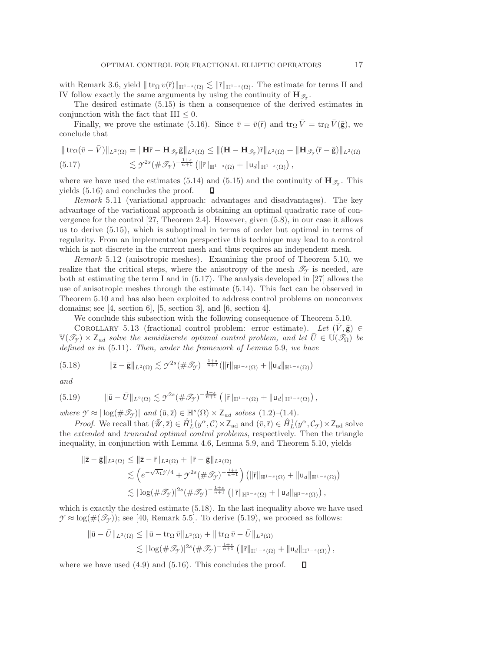with Remark [3.6,](#page-7-5) yield  $|| \text{tr}_{\Omega} v(\bar{r}) ||_{\mathbb{H}^{1-s}(\Omega)} \lesssim || \bar{r} ||_{\mathbb{H}^{1-s}(\Omega)}$ . The estimate for terms II and W follow exactly the same arguments by using the continuity of  $\mathbf{H}_{\infty}$ IV follow exactly the same arguments by using the continuity of  $\mathbf{H}_{\mathscr{T}_{\alpha}}$ .

The desired estimate [\(5.15\)](#page-15-1) is then a consequence of the derived estimates in conjunction with the fact that III  $\leq 0$ .

Finally, we prove the estimate [\(5.16\)](#page-15-2). Since  $\bar{v} = \bar{v}(\bar{r})$  and  $tr_{\Omega} \bar{V} = tr_{\Omega} \bar{V}(\bar{g})$ , we conclude that

<span id="page-16-0"></span>
$$
\| \operatorname{tr}_{\Omega}(\bar{v} - \bar{V}) \|_{L^2(\Omega)} = \| \mathbf{H} \bar{r} - \mathbf{H}_{\mathscr{T}_{\mathcal{T}}} \bar{\mathbf{g}} \|_{L^2(\Omega)} \le \| (\mathbf{H} - \mathbf{H}_{\mathscr{T}_{\mathcal{T}}}) \bar{r} \|_{L^2(\Omega)} + \| \mathbf{H}_{\mathscr{T}_{\mathcal{T}}}(\bar{r} - \bar{\mathbf{g}}) \|_{L^2(\Omega)}
$$
  
(5.17) 
$$
\lesssim \mathcal{Y}^{2s} (\#\mathscr{T}_{\mathcal{T}})^{-\frac{1+s}{n+1}} \left( \| \bar{r} \|_{\mathbb{H}^{1-s}(\Omega)} + \| u_d \|_{\mathbb{H}^{1-s}(\Omega)} \right),
$$

where we have used the estimates [\(5.14\)](#page-14-3) and [\(5.15\)](#page-15-1) and the continuity of  $\mathbf{H}_{\mathscr{T}_{\gamma}}$ . This yields [\(5.16\)](#page-15-2) and concludes the proof. O

*Remark* 5.11 (variational approach: advantages and disadvantages). The key advantage of the variational approach is obtaining an optimal quadratic rate of convergence for the control [\[27,](#page-23-13) Theorem 2.4]. However, given [\(5.8\)](#page-13-1), in our case it allows us to derive [\(5.15\)](#page-15-1), which is suboptimal in terms of order but optimal in terms of regularity. From an implementation perspective this technique may lead to a control which is not discrete in the current mesh and thus requires an independent mesh.

*Remark* 5.12 (anisotropic meshes). Examining the proof of Theorem [5.10,](#page-15-3) we realize that the critical steps, where the anisotropy of the mesh  $\mathcal{T}_{\gamma}$  is needed, are both at estimating the term I and in [\(5.17\)](#page-16-0). The analysis developed in [\[27\]](#page-23-13) allows the use of anisotropic meshes through the estimate [\(5.14\)](#page-14-3). This fact can be observed in Theorem [5.10](#page-15-3) and has also been exploited to address control problems on nonconvex domains; see  $[4, \text{ section 6}]$  $[4, \text{ section 6}]$ ,  $[5, \text{section 3}]$  $[5, \text{section 3}]$ , and  $[6, \text{section 4}]$  $[6, \text{section 4}]$ .

<span id="page-16-1"></span>We conclude this subsection with the following consequence of Theorem [5.10.](#page-15-3)

COROLLARY 5.13 (fractional control problem: error estimate). Let  $(V,\bar{g}) \in$  $\mathbb{V}(\mathscr{T}_{\gamma}) \times \mathsf{Z}_{ad}$  solve the semidiscrete optimal control problem, and let  $\bar{U} \in \mathbb{U}(\mathscr{T}_{\Omega})$  be *defined as in* [\(5.11\)](#page-14-5)*. Then, under the framework of Lemma* [5.9](#page-15-0)*, we have*

$$
(5.18) \t\t ||\bar{z} - \bar{g}||_{L^{2}(\Omega)} \lesssim \mathcal{I}^{2s} (\#\mathcal{I}_{\mathcal{I}})^{-\frac{1+s}{n+1}} (\|\bar{r}\|_{\mathbb{H}^{1-s}(\Omega)} + \|u_{d}\|_{\mathbb{H}^{1-s}(\Omega)})
$$

<span id="page-16-2"></span>*and*

$$
(5.19) \t\t ||\bar{u}-\bar{U}||_{L^{2}(\Omega)} \lesssim \mathcal{Y}^{2s}(\#\mathcal{I}_{\mathcal{Y}})^{-\frac{1+s}{n+1}}\left(||\bar{r}||_{\mathbb{H}^{1-s}(\Omega)}+||u_{d}||_{\mathbb{H}^{1-s}(\Omega)}\right),
$$

*where*  $\mathcal{Y} \approx |\log(\#\mathcal{I}_{\mathcal{Y}})|$  *and*  $(\bar{u}, \bar{z}) \in \mathbb{H}^s(\Omega) \times Z_{ad}$  *solves* [\(1.2\)](#page-0-0)–[\(1.4\)](#page-0-1)*.* 

*Proof.* We recall that  $(\bar{W}, \bar{z}) \in \hat{H}_L^1(y^\alpha, \mathcal{C}) \times Z_{ad}$  and  $(\bar{v}, \bar{r}) \in \hat{H}_L^1(y^\alpha, \mathcal{C}_{\mathcal{Y}}) \times Z_{ad}$  solve extended and truncated ontimal control problems, respectively. Then the triangle the *extended* and *truncated optimal control problems*, respectively. Then the triangle inequality, in conjunction with Lemma [4.6,](#page-10-5) Lemma [5.9,](#page-15-0) and Theorem [5.10,](#page-15-3) yields

$$
\begin{aligned} \|\bar{z}-\bar{g}\|_{L^{2}(\Omega)} &\leq \|\bar{z}-\bar{r}\|_{L^{2}(\Omega)} + \|\bar{r}-\bar{g}\|_{L^{2}(\Omega)} \\ &\lesssim \left(e^{-\sqrt{\lambda_{1}}\mathcal{Y}/4} + \mathcal{Y}^{2s}(\#\mathcal{I}_{\mathcal{Y}})^{-\frac{1+s}{n+1}}\right) \left(\|\bar{r}\|_{\mathbb{H}^{1-s}(\Omega)} + \|u_{d}\|_{\mathbb{H}^{1-s}(\Omega)}\right) \\ &\lesssim |\log(\#\mathcal{I}_{\mathcal{Y}})|^{2s}(\#\mathcal{I}_{\mathcal{Y}})^{-\frac{1+s}{n+1}} \left(\|\bar{r}\|_{\mathbb{H}^{1-s}(\Omega)} + \|u_{d}\|_{\mathbb{H}^{1-s}(\Omega)}\right), \end{aligned}
$$

which is exactly the desired estimate [\(5.18\)](#page-16-1). In the last inequality above we have used  $\mathcal{Y} \approx \log(\#(\mathcal{I}_{\mathcal{Y}}))$ ; see [\[40,](#page-24-0) Remark 5.5]. To derive [\(5.19\)](#page-16-2), we proceed as follows:

$$
\|\bar{\mathbf{u}} - \bar{U}\|_{L^2(\Omega)} \le \|\bar{\mathbf{u}} - \operatorname{tr}_{\Omega} \bar{v}\|_{L^2(\Omega)} + \|\operatorname{tr}_{\Omega} \bar{v} - \bar{U}\|_{L^2(\Omega)} \n\lesssim |\log(\#\mathscr{T}_{\mathcal{T}})|^{2s} (\#\mathscr{T}_{\mathcal{T}})^{-\frac{1+s}{n+1}} (\|\bar{r}\|_{\mathbb{H}^{1-s}(\Omega)} + \|\mathbf{u}_d\|_{\mathbb{H}^{1-s}(\Omega)}),
$$

where we have used  $(4.9)$  and  $(5.16)$ . This concludes the proof.  $\Box$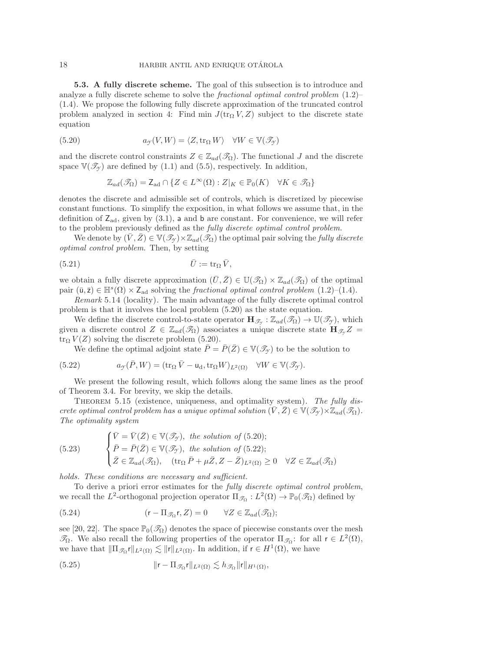<span id="page-17-0"></span>**5.3. A fully discrete scheme.** The goal of this subsection is to introduce and analyze a fully discrete scheme to solve the *fractional optimal control problem* [\(1.2\)](#page-0-0)– [\(1.4\)](#page-0-1). We propose the following fully discrete approximation of the truncated control problem analyzed in section [4:](#page-9-0) Find min  $J(\text{tr}_\Omega V, Z)$  subject to the discrete state equation

<span id="page-17-1"></span>(5.20) 
$$
a_{\mathcal{Y}}(V, W) = \langle Z, \text{tr}_{\Omega} W \rangle \quad \forall W \in \mathbb{V}(\mathscr{T}_{\mathcal{Y}})
$$

and the discrete control constraints  $Z \in \mathbb{Z}_{ad}(\mathcal{I}_{\Omega})$ . The functional J and the discrete space  $\mathbb{V}(\mathscr{T}_{\gamma})$  are defined by [\(1.1\)](#page-0-4) and [\(5.5\)](#page-12-4), respectively. In addition,

<span id="page-17-6"></span>
$$
\mathbb{Z}_{ad}(\mathcal{I}_{\Omega}) = \mathsf{Z}_{ad} \cap \{ Z \in L^{\infty}(\Omega) : Z|_{K} \in \mathbb{P}_{0}(K) \quad \forall K \in \mathcal{I}_{\Omega} \}
$$

denotes the discrete and admissible set of controls, which is discretized by piecewise constant functions. To simplify the exposition, in what follows we assume that, in the definition of  $Z_{ad}$ , given by  $(3.1)$ , a and b are constant. For convenience, we will refer to the problem previously defined as the *fully discrete optimal control problem.*

We denote by  $(\bar{V}, \bar{Z}) \in V(\mathcal{I}_{\gamma}) \times \mathbb{Z}_{ad}(\mathcal{I}_{\Omega})$  the optimal pair solving the *fully discrete optimal control problem*. Then, by setting

$$
\bar{U} := \operatorname{tr}_{\Omega} \bar{V},
$$

we obtain a fully discrete approximation  $(\bar{U}, \bar{Z}) \in \mathbb{U}(\mathcal{S}_{\Omega}) \times \mathbb{Z}_{ad}(\mathcal{S}_{\Omega})$  of the optimal pair  $(\bar{u}, \bar{z}) \in \mathbb{H}^s(\Omega) \times Z_{ad}$  solving the *fractional optimal control problem*  $(1.2)$ – $(1.4)$ .

*Remark* 5.14 (locality). The main advantage of the fully discrete optimal control problem is that it involves the local problem [\(5.20\)](#page-17-1) as the state equation.

We define the discrete control-to-state operator  $\mathbf{H}_{\mathscr{T}_{\gamma}} : \mathbb{Z}_{ad}(\mathscr{T}_{\Omega}) \to \mathbb{U}(\mathscr{T}_{\gamma})$ , which given a discrete control  $Z \in \mathbb{Z}_{ad}(\mathcal{I}_{\Omega})$  associates a unique discrete state  $\mathbf{H}_{\mathcal{I}_{\gamma}}Z =$  $\text{tr}_{\Omega} V(Z)$  solving the discrete problem [\(5.20\)](#page-17-1).

<span id="page-17-2"></span>We define the optimal adjoint state  $\overline{P} = \overline{P}(\overline{Z}) \in \mathbb{V}(\mathscr{T}_{\gamma})$  to be the solution to

(5.22) 
$$
a_{\mathcal{I}}(\bar{P}, W) = (\text{tr}_{\Omega} \bar{V} - \mathsf{u}_{d}, \text{tr}_{\Omega} W)_{L^{2}(\Omega)} \quad \forall W \in \mathbb{V}(\mathscr{T}_{\mathcal{I}}).
$$

We present the following result, which follows along the same lines as the proof of Theorem [3.4.](#page-6-4) For brevity, we skip the details.

Theorem 5.15 (existence, uniqueness, and optimality system). *The fully discrete optimal control problem has a unique optimal solution*  $(\bar{V}, \bar{Z}) \in \mathbb{V}(\mathscr{T}_{\mathcal{Y}}) \times \mathbb{Z}_{ad}(\mathscr{T}_{\Omega})$ . *The optimality system*

<span id="page-17-4"></span>(5.23) 
$$
\begin{cases} \bar{V} = \bar{V}(\bar{Z}) \in \mathbb{V}(\mathcal{I}_{\mathcal{Y}}), \text{ the solution of (5.20)};\\ \bar{P} = \bar{P}(\bar{Z}) \in \mathbb{V}(\mathcal{I}_{\mathcal{Y}}), \text{ the solution of (5.22)};\\ \bar{Z} \in \mathbb{Z}_{ad}(\mathcal{I}_{\Omega}), \quad (\text{tr}_{\Omega} \,\bar{P} + \mu \bar{Z}, Z - \bar{Z})_{L^2(\Omega)} \geq 0 \quad \forall Z \in \mathbb{Z}_{ad}(\mathcal{I}_{\Omega}) \end{cases}
$$

*holds. These conditions are necessary and sufficient.*

To derive a priori error estimates for the *fully discrete optimal control problem*, we recall the L<sup>2</sup>-orthogonal projection operator  $\Pi_{\mathscr{T}_{\Omega}}: L^2(\Omega) \to \mathbb{P}_0(\mathscr{T}_{\Omega})$  defined by

<span id="page-17-3"></span>(5.24) 
$$
(\mathbf{r} - \Pi_{\mathscr{T}_{\Omega}} \mathbf{r}, Z) = 0 \qquad \forall Z \in \mathbb{Z}_{ad}(\mathscr{T}_{\Omega});
$$

see [\[20,](#page-23-19) [22\]](#page-23-20). The space  $\mathbb{P}_0(\mathcal{I}_\Omega)$  denotes the space of piecewise constants over the mesh  $\mathscr{T}_\Omega$ . We also recall the following properties of the operator  $\Pi_{\mathscr{T}_\Omega}$ : for all  $r \in L^2(\Omega)$ , we have that  $\|\Pi_{\mathscr{T}_{\Omega}}\mathsf{r}\|_{L^2(\Omega)} \lesssim \|\mathsf{r}\|_{L^2(\Omega)}$ . In addition, if  $\mathsf{r} \in H^1(\Omega)$ , we have

<span id="page-17-5"></span>(5.25) 
$$
\|r - \Pi_{\mathscr{T}_{\Omega}} r\|_{L^2(\Omega)} \lesssim h_{\mathscr{T}_{\Omega}} \|r\|_{H^1(\Omega)},
$$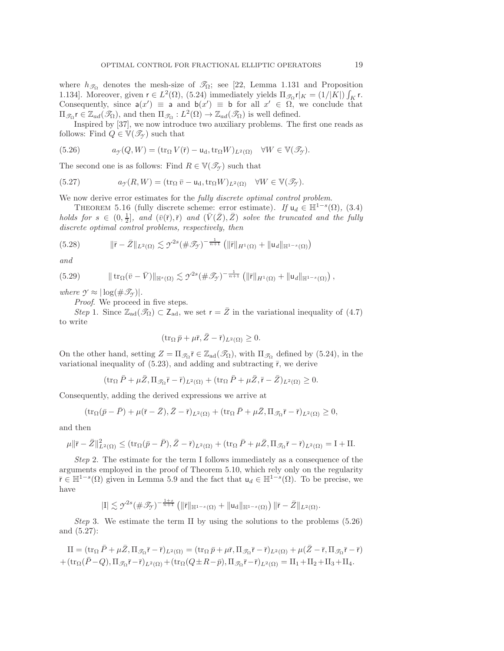where  $h_{\mathscr{T}_{\Omega}}$  denotes the mesh-size of  $\mathscr{T}_{\Omega}$ ; see [\[22,](#page-23-20) Lemma 1.131 and Proposition 1.134]. Moreover, given  $\mathbf{r} \in L^2(\Omega)$ , [\(5.24\)](#page-17-3) immediately yields  $\Pi_{\mathcal{F}_\Omega} \mathbf{r}|_K = (1/|\tilde{K}|) \int_K \mathbf{r}$ .<br>Consequently, since  $\mathbf{a}(x') = \mathbf{a}$  and  $\mathbf{b}(x') = \mathbf{b}$  for all  $x' \in \Omega$  we conclude that Consequently, since  $a(x') \equiv a$  and  $b(x') \equiv b$  for all  $x' \in \Omega$ , we conclude that  $\Pi \circ t \in \mathbb{Z}$ ,  $(\mathcal{R})$  and then  $\Pi \circ t \in \mathbb{Z}$ ,  $(\mathcal{R})$  is well defined  $\Pi_{\mathscr{T}_{\Omega}} \rvert \in \mathbb{Z}_{ad}(\mathscr{T}_{\Omega})$ , and then  $\Pi_{\mathscr{T}_{\Omega}} : L^2(\Omega) \to \mathbb{Z}_{ad}(\mathscr{T}_{\Omega})$  is well defined.

Inspired by [\[37\]](#page-23-25), we now introduce two auxiliary problems. The first one reads as follows: Find  $Q \in V(\mathcal{T}_{\gamma})$  such that

<span id="page-18-0"></span>(5.26) 
$$
a_{\mathcal{Y}}(Q,W) = (\operatorname{tr}_{\Omega} V(\bar{r}) - \mathsf{u}_{d}, \operatorname{tr}_{\Omega} W)_{L^{2}(\Omega)} \quad \forall W \in \mathbb{V}(\mathscr{T}_{\mathcal{Y}}).
$$

The second one is as follows: Find  $R \in \mathbb{V}(\mathcal{I}_{\gamma})$  such that

(5.27) 
$$
a_{\mathcal{I}}(R,W) = (\operatorname{tr}_{\Omega} \bar{v} - \mathsf{u}_{d}, \operatorname{tr}_{\Omega} W)_{L^{2}(\Omega)} \quad \forall W \in \mathbb{V}(\mathscr{T}_{\mathcal{I}}).
$$

<span id="page-18-4"></span>We now derive error estimates for the *fully discrete optimal control problem*.

THEOREM 5.16 (fully discrete scheme: error estimate). *If*  $u_d \in \mathbb{H}^{1-s}(\Omega)$ , [\(3.4\)](#page-6-2) *holds for*  $s \in (0, \frac{1}{2}]$ , and  $(\bar{v}(\bar{r}), \bar{r})$  and  $(\bar{V}(\bar{Z}), \bar{Z})$  solve the truncated and the fully discrete ontimal control problems respectively then *discrete optimal control problems, respectively, then*

$$
(5.28) \t\t ||\bar{r} - \bar{Z}||_{L^{2}(\Omega)} \lesssim \mathcal{I}^{2s} (\#\mathcal{I}_{\mathcal{I}})^{-\frac{1}{n+1}} \left( \|\bar{r}\|_{H^{1}(\Omega)} + \|u_{d}\|_{\mathbb{H}^{1-s}(\Omega)} \right)
$$

<span id="page-18-3"></span>*and*

$$
(5.29) \t\t\t ||tr_{\Omega}(\bar{v}-\bar{V})||_{\mathbb{H}^{s}(\Omega)} \lesssim \mathcal{Y}^{2s}(\#\mathcal{I}_{\mathcal{Y}})^{-\frac{1}{n+1}} \left( \|\bar{r}\|_{H^{1}(\Omega)} + \|u_{d}\|_{\mathbb{H}^{1-s}(\Omega)} \right),
$$

*where*  $\mathcal{Y} \approx |\log(\#\mathscr{T}_{\mathscr{Y}})|$ *.* 

*Proof*. We proceed in five steps.

*Step* 1. Since  $\mathbb{Z}_{ad}(\mathscr{T}_{\Omega}) \subset \mathbb{Z}_{ad}$ , we set  $r = \overline{Z}$  in the variational inequality of [\(4.7\)](#page-10-2) to write

<span id="page-18-2"></span><span id="page-18-1"></span>
$$
(\operatorname{tr}_{\Omega} \bar{p} + \mu \bar{r}, \bar{Z} - \bar{r})_{L^2(\Omega)} \ge 0.
$$

On the other hand, setting  $Z = \Pi_{\mathcal{S}_{\Omega}} \bar{r} \in \mathbb{Z}_{ad}(\mathcal{S}_{\Omega})$ , with  $\Pi_{\mathcal{S}_{\Omega}}$  defined by [\(5.24\)](#page-17-3), in the variational inequality of  $(5.23)$ , and adding and subtracting  $\bar{r}$ , we derive

$$
(\operatorname{tr}_{\Omega} \bar{P} + \mu \bar{Z}, \Pi_{\mathcal{J}_{\Omega}} \bar{r} - \bar{r})_{L^2(\Omega)} + (\operatorname{tr}_{\Omega} \bar{P} + \mu \bar{Z}, \bar{r} - \bar{Z})_{L^2(\Omega)} \ge 0.
$$

Consequently, adding the derived expressions we arrive at

$$
(\operatorname{tr}_{\Omega}(\bar{p}-\bar{P})+\mu(\bar{r}-\bar{Z}),\bar{Z}-\bar{r})_{L^{2}(\Omega)}+(\operatorname{tr}_{\Omega}\bar{P}+\mu\bar{Z},\Pi_{\mathscr{T}_{\Omega}}\bar{r}-\bar{r})_{L^{2}(\Omega)}\geq 0,
$$

and then

$$
\mu \|\bar{\mathbf{r}} - \bar{Z}\|_{L^2(\Omega)}^2 \leq (\operatorname{tr}_\Omega(\bar{p} - \bar{P}), \bar{Z} - \bar{\mathbf{r}})_{L^2(\Omega)} + (\operatorname{tr}_\Omega \bar{P} + \mu \bar{Z}, \Pi_{\mathscr{T}_\Omega} \bar{\mathbf{r}} - \bar{\mathbf{r}})_{L^2(\Omega)} = \mathbf{I} + \mathbf{II}.
$$

*Step* 2. The estimate for the term I follows immediately as a consequence of the arguments employed in the proof of Theorem [5.10,](#page-15-3) which rely only on the regularity  $\bar{r} \in \mathbb{H}^{1-s}(\Omega)$  given in Lemma [5.9](#page-15-0) and the fact that  $u_d \in \mathbb{H}^{1-s}(\Omega)$ . To be precise, we have

$$
|I| \lesssim \gamma^{2s} (\#\mathscr{T}_{\gamma})^{-\frac{1+s}{n+1}} \left( \|\bar{r}\|_{\mathbb{H}^{1-s}(\Omega)} + \|u_d\|_{\mathbb{H}^{1-s}(\Omega)} \right) \|\bar{r} - \bar{Z}\|_{L^2(\Omega)}.
$$

*Step* 3. We estimate the term II by using the solutions to the problems [\(5.26\)](#page-18-0) and [\(5.27\)](#page-18-1):

$$
II = (\text{tr}_{\Omega} \bar{P} + \mu \bar{Z}, \Pi_{\mathcal{F}_{\Omega}} \bar{r} - \bar{r})_{L^2(\Omega)} = (\text{tr}_{\Omega} \bar{p} + \mu \bar{r}, \Pi_{\mathcal{F}_{\Omega}} \bar{r} - \bar{r})_{L^2(\Omega)} + \mu (\bar{Z} - \bar{r}, \Pi_{\mathcal{F}_{\Omega}} \bar{r} - \bar{r}) + (\text{tr}_{\Omega} (\bar{P} - Q), \Pi_{\mathcal{F}_{\Omega}} \bar{r} - \bar{r})_{L^2(\Omega)} + (\text{tr}_{\Omega} (Q \pm R - \bar{p}), \Pi_{\mathcal{F}_{\Omega}} \bar{r} - \bar{r})_{L^2(\Omega)} = \text{II}_1 + \text{II}_2 + \text{II}_3 + \text{II}_4.
$$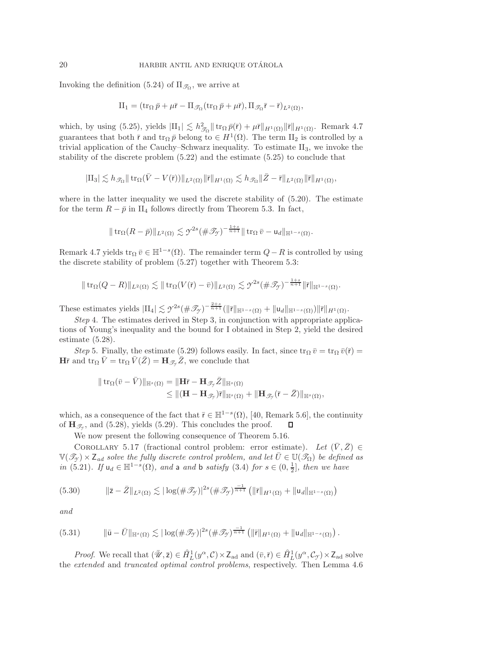Invoking the definition [\(5.24\)](#page-17-3) of  $\Pi_{\mathscr{T}_{\Omega}}$ , we arrive at

$$
\Pi_1 = (\operatorname{tr}_\Omega \bar{p} + \mu \bar{r} - \Pi_{\mathscr{T}_\Omega} (\operatorname{tr}_\Omega \bar{p} + \mu \bar{r}), \Pi_{\mathscr{T}_\Omega} \bar{r} - \bar{r})_{L^2(\Omega)},
$$

which, by using [\(5.25\)](#page-17-5), yields  $|\text{II}_1| \lesssim h_{\mathcal{D}_0}^2 ||\text{tr}_\Omega \bar{p}(\bar{r}) + \mu \bar{r} ||_{H^1(\Omega)} ||\bar{r}||_{H^1(\Omega)}$ . Remark [4.7](#page-11-4) guarantees that both  $\bar{r}$  and  $\text{tr}_{\Omega} \bar{p}$  belong to  $\in H^1(\Omega)$ . The term  $\text{II}_2$  is controlled by a trivial application of the Cauchy–Schwarz inequality. To estimate  $II_3$ , we invoke the stability of the discrete problem [\(5.22\)](#page-17-2) and the estimate [\(5.25\)](#page-17-5) to conclude that

$$
|\mathrm{II}_3| \lesssim h_{\mathscr{T}_\Omega} \|\operatorname{tr}_\Omega(\bar{V} - V(\bar{r}))\|_{L^2(\Omega)} \|\bar{r}\|_{H^1(\Omega)} \lesssim h_{\mathscr{T}_\Omega} \|\bar{Z} - \bar{r}\|_{L^2(\Omega)} \|\bar{r}\|_{H^1(\Omega)},
$$

where in the latter inequality we used the discrete stability of  $(5.20)$ . The estimate for the term  $R - \bar{p}$  in  $\text{II}_4$  follows directly from Theorem [5.3.](#page-13-0) In fact,

$$
\|\operatorname{tr}_{\Omega}(R-\bar{p})\|_{L^2(\Omega)} \lesssim \mathcal{I}^{2s}(\#\mathcal{I}_{\mathcal{I}})^{-\frac{1+s}{n+1}}\|\operatorname{tr}_{\Omega}\bar{v} - \mathsf{u}_d\|_{\mathbb{H}^{1-s}(\Omega)}.
$$

Remark [4.7](#page-11-4) yields  $\text{tr}_{\Omega} \bar{v} \in \mathbb{H}^{1-s}(\Omega)$ . The remainder term  $Q-R$  is controlled by using the discrete stability of problem [\(5.27\)](#page-18-1) together with Theorem [5.3:](#page-13-0)

$$
\|\operatorname{tr}_{\Omega}(Q-R)\|_{L^{2}(\Omega)} \lesssim \|\operatorname{tr}_{\Omega}(V(\overline{r})-\overline{v})\|_{L^{2}(\Omega)} \lesssim \mathcal{Y}^{2s}(\#\mathcal{I}_{\mathcal{Y}})^{-\frac{1+s}{n+1}}\|\overline{r}\|_{\mathbb{H}^{1-s}(\Omega)}.
$$

These estimates yields  $|\Pi_4| \lesssim \gamma^{2s} (\#\mathscr{T}_{\gamma})^{-\frac{2+s}{n+1}} (\|\bar{r}\|_{\mathbb{H}^{1-s}(\Omega)} + \|u_d\|_{\mathbb{H}^{1-s}(\Omega)}) \|\bar{r}\|_{H^1(\Omega)}.$ 

*Step* 4. The estimates derived in Step 3, in conjunction with appropriate applications of Young's inequality and the bound for I obtained in Step 2, yield the desired estimate [\(5.28\)](#page-18-2).

*Step* 5. Finally, the estimate [\(5.29\)](#page-18-3) follows easily. In fact, since  $\text{tr}_{\Omega} \bar{v} = \text{tr}_{\Omega} \bar{v}(\bar{r}) =$ **H** $\bar{r}$  and tr<sub> $\Omega$ </sub>  $\bar{V} = \text{tr}_{\Omega} \bar{V}(\bar{Z}) = \mathbf{H}_{\mathscr{T}_{\gamma}} \bar{Z}$ , we conclude that

<span id="page-19-2"></span><span id="page-19-0"></span>
$$
\begin{aligned} \|\operatorname{tr}_\Omega (\bar{v}-\bar{V})\|_{\mathbb{H}^s(\Omega)}&=\|\mathbf{H}\bar{r}-\mathbf{H}_{\mathscr{T}_{\mathcal{T}}}\bar{Z}\|_{\mathbb{H}^s(\Omega)}\\ &\leq \|(\mathbf{H}-\mathbf{H}_{\mathscr{T}_{\mathcal{T}}})\bar{r}\|_{\mathbb{H}^s(\Omega)}+\|\mathbf{H}_{\mathscr{T}_{\mathcal{T}}}(\bar{r}-\bar{Z})\|_{\mathbb{H}^s(\Omega)}, \end{aligned}
$$

which, as a consequence of the fact that  $\bar{r} \in \mathbb{H}^{1-s}(\Omega)$ , [\[40,](#page-24-0) Remark 5.6], the continuity of  $\mathbf{H}_{\mathcal{F}}$ , and (5.28), vields (5.29). This concludes the proof.  $\Box$ of  $\mathbf{H}_{\mathscr{T}_{\gamma}}$ , and [\(5.28\)](#page-18-2), yields [\(5.29\)](#page-18-3). This concludes the proof.

We now present the following consequence of Theorem [5.16.](#page-18-4)

COROLLARY 5.17 (fractional control problem: error estimate). Let  $(\bar{V}, \bar{Z}) \in$  $\mathbb{V}(\mathscr{T}_{\gamma}) \times \mathsf{Z}_{ad}$  *solve the fully discrete control problem, and let*  $\overline{U} \in \mathbb{U}(\mathscr{T}_{\Omega})$  *be defined as in* [\(5.21\)](#page-17-6)*.* If  $u_d \in \mathbb{H}^{1-s}(\Omega)$ *, and* a *and* b *satisfy* [\(3.4\)](#page-6-2) *for*  $s \in (0, \frac{1}{2}]$ *, then we have* 

(5.30) 
$$
\|\bar{\mathbf{z}}-\bar{Z}\|_{L^2(\Omega)} \lesssim |\log(\#\mathscr{T}_{\mathcal{Y}})|^{2s}(\#\mathscr{T}_{\mathcal{Y}})^{\frac{-1}{n+1}} (||\bar{\mathbf{r}}||_{H^1(\Omega)} + ||\mathbf{u}_d||_{\mathbb{H}^{1-s}(\Omega)})
$$

<span id="page-19-1"></span>*and*

$$
(5.31) \qquad \|\bar{\mathbf{u}}-\bar{U}\|_{\mathbb{H}^s(\Omega)} \lesssim |\log(\#\mathscr{T}_{\mathcal{Y}})|^{2s} (\#\mathscr{T}_{\mathcal{Y}})^{\frac{-1}{n+1}} \left( \|\bar{\mathbf{r}}\|_{H^1(\Omega)} + \|\mathbf{u}_d\|_{\mathbb{H}^{1-s}(\Omega)} \right).
$$

*Proof.* We recall that  $(\bar{\mathcal{U}}, \bar{z}) \in \mathring{H}_L^1(y^\alpha, \mathcal{C}) \times Z_{ad}$  and  $(\bar{v}, \bar{r}) \in \mathring{H}_L^1(y^\alpha, \mathcal{C}_{\mathcal{Y}}) \times Z_{ad}$  solve extended and truncated ontimal control problems, respectively. Then Lemma 4.6 the *extended* and *truncated optimal control problems*, respectively. Then Lemma [4.6](#page-10-5)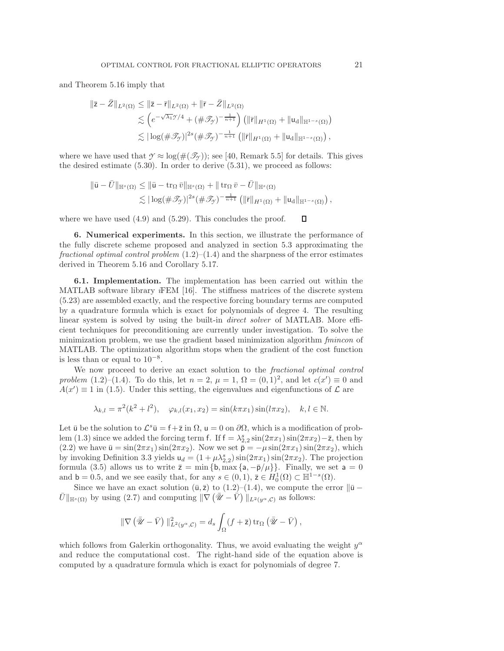and Theorem [5.16](#page-18-4) imply that

$$
\begin{aligned}\n\|\bar{z}-\bar{Z}\|_{L^{2}(\Omega)} &\leq \|\bar{z}-\bar{r}\|_{L^{2}(\Omega)} + \|\bar{r}-\bar{Z}\|_{L^{2}(\Omega)} \\
&\lesssim \left(e^{-\sqrt{\lambda_{1}}\mathcal{Y}/4} + (\#\mathcal{J}_{\mathcal{Y}})^{-\frac{1}{n+1}}\right) \left(\|\bar{r}\|_{H^{1}(\Omega)} + \|u_{d}\|_{\mathbb{H}^{1-s}(\Omega)}\right) \\
&\lesssim |\log(\#\mathcal{J}_{\mathcal{Y}})|^{2s} (\#\mathcal{J}_{\mathcal{Y}})^{-\frac{1}{n+1}} \left(\|\bar{r}\|_{H^{1}(\Omega)} + \|u_{d}\|_{\mathbb{H}^{1-s}(\Omega)}\right),\n\end{aligned}
$$

where we have used that  $\gamma \approx \log(\#(\mathcal{T}_\gamma))$ ; see [\[40,](#page-24-0) Remark 5.5] for details. This gives the desired estimate [\(5.30\)](#page-19-0). In order to derive [\(5.31\)](#page-19-1), we proceed as follows:

$$
\|\bar{\mathbf{u}} - \bar{U}\|_{\mathbb{H}^{s}(\Omega)} \leq \|\bar{\mathbf{u}} - \operatorname{tr}_{\Omega} \bar{v}\|_{\mathbb{H}^{s}(\Omega)} + \|\operatorname{tr}_{\Omega} \bar{v} - \bar{U}\|_{\mathbb{H}^{s}(\Omega)}
$$
  
\$\lesssim |\log(\#\mathcal{T}\_{\mathcal{T}})|^{2s} (\#\mathcal{T}\_{\mathcal{T}})^{-\frac{1}{n+1}} (\|\bar{r}\|\_{H^{1}(\Omega)} + \|u\_{d}\|\_{\mathbb{H}^{1-s}(\Omega)}),

<span id="page-20-0"></span>where we have used  $(4.9)$  and  $(5.29)$ . This concludes the proof.  $\Box$ 

**6. Numerical experiments.** In this section, we illustrate the performance of the fully discrete scheme proposed and analyzed in section [5.3](#page-17-0) approximating the *fractional optimal control problem* [\(1.2\)](#page-0-0)–[\(1.4\)](#page-0-1) and the sharpness of the error estimates derived in Theorem [5.16](#page-18-4) and Corollary [5.17.](#page-19-2)

**6.1. Implementation.** The implementation has been carried out within the MATLAB software library *i*FEM [\[16\]](#page-23-26). The stiffness matrices of the discrete system [\(5.23\)](#page-17-4) are assembled exactly, and the respective forcing boundary terms are computed by a quadrature formula which is exact for polynomials of degree 4. The resulting linear system is solved by using the built-in *direct solver* of MATLAB. More efficient techniques for preconditioning are currently under investigation. To solve the minimization problem, we use the gradient based minimization algorithm *fmincon* of MATLAB. The optimization algorithm stops when the gradient of the cost function is less than or equal to  $10^{-8}$ .

We now proceed to derive an exact solution to the *fractional optimal control problem* [\(1.2\)](#page-0-0)–[\(1.4\)](#page-0-1). To do this, let  $n = 2$ ,  $\mu = 1$ ,  $\Omega = (0, 1)^2$ , and let  $c(x') \equiv 0$  and  $A(x') \equiv 1$  in [\(1.5\)](#page-1-3). Under this setting, the eigenvalues and eigenfunctions of  $\mathcal{L}$  are

$$
\lambda_{k,l} = \pi^2 (k^2 + l^2), \quad \varphi_{k,l}(x_1, x_2) = \sin(k\pi x_1) \sin(l\pi x_2), \quad k, l \in \mathbb{N}.
$$

Let  $\bar{u}$  be the solution to  $\mathcal{L}^s\bar{u} = f+\bar{z}$  in  $\Omega$ ,  $u = 0$  on  $\partial\Omega$ , which is a modification of prob-lem [\(1.3\)](#page-0-2) since we added the forcing term f. If  $f = \lambda_{2,2}^s \sin(2\pi x_1) \sin(2\pi x_2) - \bar{z}$ , then by<br>(2.2) we have  $\bar{u} = \sin(2\pi x_1) \sin(2\pi x_2)$ . Now we set  $\bar{p} = -\mu \sin(2\pi x_1) \sin(2\pi x_2)$ , which [\(2.2\)](#page-3-4) we have  $\bar{u} = \sin(2\pi x_1) \sin(2\pi x_2)$ . Now we set  $\bar{p} = -\mu \sin(2\pi x_1) \sin(2\pi x_2)$ , which by invoking Definition [3.3](#page-6-1) yields  $u_d = (1 + \mu \lambda_{2,2}^s) \sin(2\pi x_1) \sin(2\pi x_2)$ . The projection formula (3.5) allows us to write  $\bar{z} = \min f h \max f_2 = \bar{b}/\mu V$ . Finally we set  $z = 0$ formula [\(3.5\)](#page-7-1) allows us to write  $\bar{z} = \min \{b, \max \{a, -\bar{p}/\mu\}\}\.$  Finally, we set  $a = 0$ and  $\mathbf{b} = 0.5$ , and we see easily that, for any  $s \in (0,1)$ ,  $\overline{z} \in H_0^1(\Omega) \subset \mathbb{H}^{1-s}(\Omega)$ .<br>Since we have an exact colution  $(\overline{u}, \overline{z})$  to  $(1, 2)$ ,  $(1, 4)$ , we compute the exp

Since we have an exact solution  $(\bar{u}, \bar{z})$  to  $(1.2)$ – $(1.4)$ , we compute the error  $\|\bar{u} \bar{U} \|_{\mathbb{H}^{s}(\Omega)}$  by using [\(2.7\)](#page-4-3) and computing  $\|\nabla (\bar{\mathscr{U}} - \bar{\dot{V}})\|_{L^{2}(y^{\alpha}, \mathcal{C})}$  as follows:

$$
\|\nabla \left(\bar{\mathscr{U}} - \bar{V}\right)\|_{L^2(\mathscr{Y}^\alpha,\mathcal{C})}^2 = d_s \int_{\Omega} (f + \bar{z}) \operatorname{tr}_{\Omega} \left(\bar{\mathscr{U}} - \bar{V}\right),
$$

which follows from Galerkin orthogonality. Thus, we avoid evaluating the weight  $y^{\alpha}$ and reduce the computational cost. The right-hand side of the equation above is computed by a quadrature formula which is exact for polynomials of degree 7.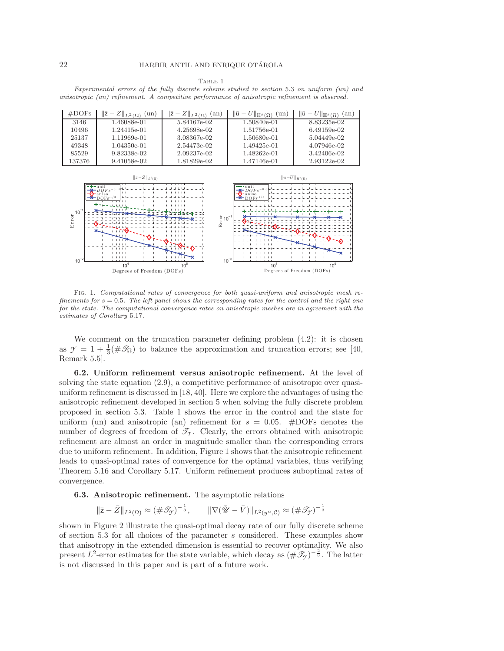#### Table 1

<span id="page-21-0"></span>Experimental errors of the fully discrete scheme studied in section [5.3](#page-17-0) on uniform (un) and anisotropic (an) refinement. A competitive performance of anisotropic refinement is observed.

| #DOFs  | un<br>$ L^2(\Omega) $ | an i<br>$\mathcal{L} \parallel_{L^2(\Omega)}$ | ۱ū<br>un l<br>$\mathbb{H}^s(\Omega)$ | ١ū<br>an)<br>$\Vert \mathbb{H}^s(\Omega)$ |
|--------|-----------------------|-----------------------------------------------|--------------------------------------|-------------------------------------------|
| 3146   | 1.46088e-01           | 5.84167e-02                                   | 1.50840e-01                          | 8.83235e-02                               |
| 10496  | 1.24415e-01           | 4.25698e-02                                   | 1.51756e-01                          | 6.49159e-02                               |
| 25137  | 1.11969e-01           | 3.08367e-02                                   | 1.50680e-01                          | 5.04449e-02                               |
| 49348  | 1.04350e-01           | 2.54473e-02                                   | 1.49425e-01                          | 4.07946e-02                               |
| 85529  | 9.82338e-02           | 2.09237e-02                                   | 1.48262e-01                          | 3.42406e-02                               |
| 137376 | 9.41058e-02           | 1.81829e-02                                   | 1.47146e-01                          | 2.93122e-02                               |



<span id="page-21-1"></span>Fig. 1. Computational rates of convergence for both quasi-uniform and anisotropic mesh re $finements for  $s = 0.5$ . The left panel shows the corresponding rates for the control and the right one$ for the state. The computational convergence rates on anisotropic meshes are in agreement with the estimates of Corollary [5.17](#page-19-2).

We comment on the truncation parameter defining problem [\(4.2\)](#page-9-3): it is chosen as  $\gamma = 1 + \frac{1}{3} (\# \mathscr{T}_{\Omega})$  to balance the approximation and truncation errors; see [\[40,](#page-24-0) Remark 5.5].

**6.2. Uniform refinement versus anisotropic refinement.** At the level of solving the state equation [\(2.9\)](#page-5-4), a competitive performance of anisotropic over quasiuniform refinement is discussed in [\[18,](#page-23-23) [40\]](#page-24-0). Here we explore the advantages of using the anisotropic refinement developed in section [5](#page-11-0) when solving the fully discrete problem proposed in section [5.3.](#page-17-0) Table [1](#page-21-0) shows the error in the control and the state for uniform (un) and anisotropic (an) refinement for  $s = 0.05$ . #DOFs denotes the number of degrees of freedom of  $\mathcal{T}_{\gamma}$ . Clearly, the errors obtained with anisotropic refinement are almost an order in magnitude smaller than the corresponding errors due to uniform refinement. In addition, Figure [1](#page-21-1) shows that the anisotropic refinement leads to quasi-optimal rates of convergence for the optimal variables, thus verifying Theorem [5.16](#page-18-4) and Corollary [5.17.](#page-19-2) Uniform refinement produces suboptimal rates of convergence.

### **6.3. Anisotropic refinement.** The asymptotic relations

$$
\|\bar{\mathbf{z}} - \bar{Z}\|_{L^2(\Omega)} \approx (\#\mathcal{T}_{\mathcal{T}})^{-\frac{1}{3}}, \qquad \|\nabla(\bar{\mathscr{U}} - \bar{V})\|_{L^2(\mathscr{Y}^\alpha, \mathcal{C})} \approx (\#\mathcal{T}_{\mathcal{T}})^{-\frac{1}{3}}
$$

shown in Figure [2](#page-22-10) illustrate the quasi-optimal decay rate of our fully discrete scheme of section [5.3](#page-17-0) for all choices of the parameter s considered. These examples show that anisotropy in the extended dimension is essential to recover optimality. We also present  $L^2$ -error estimates for the state variable, which decay as  $(\#\mathscr{T}_{\gamma})^{-\frac{2}{3}}$ . The latter is not discussed in this paper and is part of a future work.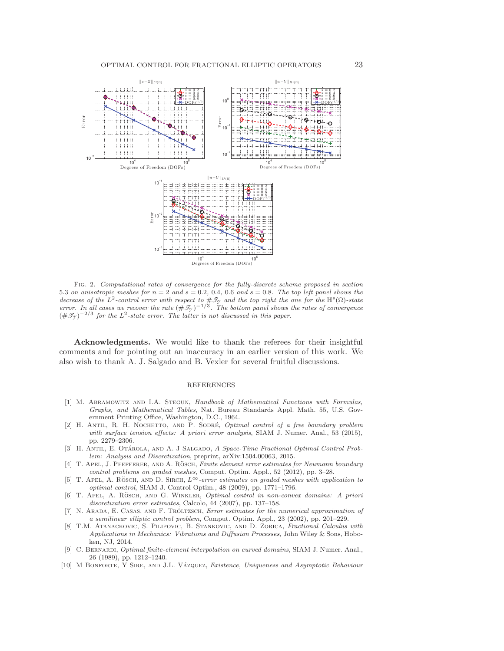

<span id="page-22-10"></span>Fig. 2. Computational rates of convergence for the fully-discrete scheme proposed in section [5.3](#page-17-0) on anisotropic meshes for  $n = 2$  and  $s = 0.2, 0.4, 0.6$  and  $s = 0.8$ . The top left panel shows the decrease of the  $L^2$ -control error with respect to  $\#\mathcal{I}_Y$  and the top right the one for the  $\mathbb{H}^s(\Omega)$ -state error. In all cases we recover the rate  $(\#\mathcal{I}_y)^{-1/3}$ . The bottom panel shows the rates of convergence  $(\#\mathscr{T}_{\gamma})^{-2/3}$  for the *L*<sup>2</sup>-state error. The latter is not discussed in this paper.

**Acknowledgments.** We would like to thank the referees for their insightful comments and for pointing out an inaccuracy in an earlier version of this work. We also wish to thank A. J. Salgado and B. Vexler for several fruitful discussions.

### REFERENCES

- <span id="page-22-5"></span>[1] M. Abramowitz and I.A. Stegun, Handbook of Mathematical Functions with Formulas, Graphs, and Mathematical Tables, Nat. Bureau Standards Appl. Math. 55, U.S. Government Printing Office, Washington, D.C., 1964.
- <span id="page-22-1"></span>[2] H. ANTIL, R. H. NOCHETTO, AND P. SODRÉ, Optimal control of a free boundary problem with surface tension effects: A priori error analysis, SIAM J. Numer. Anal., 53 (2015), pp. 2279–2306.
- <span id="page-22-3"></span>[3] H. ANTIL, E. OTÁROLA, AND A. J SALGADO, A Space-Time Fractional Optimal Control Problem: Analysis and Discretization, preprint, [arXiv:1504.00063,](http://arxiv.org/abs/1504.00063) 2015.
- <span id="page-22-7"></span>[4] T. APEL, J. PFEFFERER, AND A. RÖSCH, Finite element error estimates for Neumann boundary control problems on graded meshes, Comput. Optim. Appl., 52 (2012), pp. 3–28.
- <span id="page-22-8"></span>[5] T. APEL, A. RÖSCH, AND D. SIRCH,  $L^\infty$ -error estimates on graded meshes with application to optimal control, SIAM J. Control Optim., 48 (2009), pp. 1771–1796.
- <span id="page-22-9"></span>[6] T. APEL, A. RÖSCH, AND G. WINKLER, *Optimal control in non-convex domains: A priori* discretization error estimates, Calcolo, 44 (2007), pp. 137–158.
- <span id="page-22-2"></span>[7] N. ARADA, E. CASAS, AND F. TRÖLTZSCH, *Error estimates for the numerical approximation of* a semilinear elliptic control problem, Comput. Optim. Appl., 23 (2002), pp. 201–229.
- <span id="page-22-0"></span>[8] T.M. Atanackovic, S. Pilipovic, B. Stankovic, and D. Zorica, Fractional Calculus with Applications in Mechanics: Vibrations and Diffusion Processes, John Wiley & Sons, Hoboken, NJ, 2014.
- <span id="page-22-6"></span>[9] C. BERNARDI, *Optimal finite-element interpolation on curved domains*, SIAM J. Numer. Anal., 26 (1989), pp. 1212–1240.
- <span id="page-22-4"></span>[10] M BONFORTE, Y SIRE, AND J.L. VÁZQUEZ, Existence, Uniqueness and Asymptotic Behaviour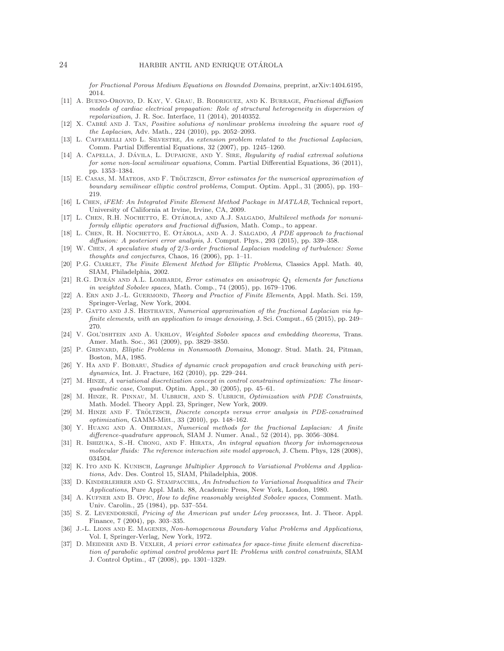for Fractional Porous Medium Equations on Bounded Domains, preprint, [arXiv:1404.6195,](http://arxiv.org/abs/1404.6195) 2014.

- <span id="page-23-0"></span>[11] A. Bueno-Orovio, D. Kay, V. Grau, B. Rodriguez, and K. Burrage, Fractional diffusion models of cardiac electrical propagation: Role of structural heterogeneity in dispersion of repolarization, J. R. Soc. Interface, 11 (2014), 20140352.
- <span id="page-23-6"></span>[12] X. CABRÉ AND J. TAN, Positive solutions of nonlinear problems involving the square root of the Laplacian, Adv. Math., 224 (2010), pp. 2052–2093.
- <span id="page-23-7"></span>[13] L. CAFFARELLI AND L. SILVESTRE, An extension problem related to the fractional Laplacian, Comm. Partial Differential Equations, 32 (2007), pp. 1245–1260.
- <span id="page-23-8"></span>[14] A. CAPELLA, J. DÁVILA, L. DUPAIGNE, AND Y. SIRE, Regularity of radial extremal solutions for some non-local semilinear equations, Comm. Partial Differential Equations, 36 (2011), pp. 1353–1384.
- <span id="page-23-12"></span>[15] E. CASAS, M. MATEOS, AND F. TRÖLTZSCH, *Error estimates for the numerical approximation of* boundary semilinear elliptic control problems, Comput. Optim. Appl., 31 (2005), pp. 193– 219.
- <span id="page-23-26"></span>[16] L Chen, iFEM: An Integrated Finite Element Method Package in MATLAB, Technical report, University of California at Irvine, Irvine, CA, 2009.
- <span id="page-23-22"></span>[17] L. CHEN, R.H. NOCHETTO, E. OTÁROLA, AND A.J. SALGADO, *Multilevel methods for nonuni*formly elliptic operators and fractional diffusion, Math. Comp., to appear.
- <span id="page-23-23"></span>[18] L. CHEN, R. H. NOCHETTO, E. OTÁROLA, AND A. J. SALGADO, A PDE approach to fractional diffusion: A posteriori error analysis, J. Comput. Phys., 293 (2015), pp. 339–358.
- <span id="page-23-1"></span>[19] W. Chen, A speculative study of 2*/*3-order fractional Laplacian modeling of turbulence: Some thoughts and conjectures, Chaos, 16 (2006), pp. 1–11.
- <span id="page-23-19"></span>[20] P.G. CIARLET, The Finite Element Method for Elliptic Problems, Classics Appl. Math. 40, SIAM, Philadelphia, 2002.
- <span id="page-23-21"></span>[21] R.G. DURÁN AND A.L. LOMBARDI, Error estimates on anisotropic  $Q_1$  elements for functions in weighted Sobolev spaces, Math. Comp., 74 (2005), pp. 1679–1706.
- <span id="page-23-20"></span>[22] A. ERN AND J.-L. GUERMOND, Theory and Practice of Finite Elements, Appl. Math. Sci. 159, Springer-Verlag, New York, 2004.
- <span id="page-23-2"></span>[23] P. GATTO AND J.S. HESTHAVEN, Numerical approximation of the fractional Laplacian via hpfinite elements, with an application to image denoising, J. Sci. Comput., 65 (2015), pp. 249– 270.
- <span id="page-23-15"></span>[24] V. GOL'DSHTEIN AND A. UKHLOV, Weighted Sobolev spaces and embedding theorems, Trans. Amer. Math. Soc., 361 (2009), pp. 3829–3850.
- <span id="page-23-17"></span>[25] P. Grisvard, Elliptic Problems in Nonsmooth Domains, Monogr. Stud. Math. 24, Pitman, Boston, MA, 1985.
- <span id="page-23-3"></span>[26] Y. HA AND F. BOBARU, Studies of dynamic crack propagation and crack branching with peridynamics, Int. J. Fracture, 162 (2010), pp. 229–244.
- <span id="page-23-13"></span>[27] M. Hinze, A variational discretization concept in control constrained optimization: The linearquadratic case, Comput. Optim. Appl., 30 (2005), pp. 45–61.
- <span id="page-23-9"></span>[28] M. Hinze, R. Pinnau, M. Ulbrich, and S. Ulbrich, Optimization with PDE Constraints, Math. Model. Theory Appl. 23, Springer, New York, 2009.
- <span id="page-23-10"></span>[29] M. HINZE AND F. TRÖLTZSCH, Discrete concepts versus error analysis in PDE-constrained optimization, GAMM-Mitt., 33 (2010), pp. 148–162.
- <span id="page-23-24"></span>[30] Y. Huang and A. Oberman, Numerical methods for the fractional Laplacian: A finite difference-quadrature approach, SIAM J. Numer. Anal., 52 (2014), pp. 3056–3084.
- <span id="page-23-4"></span>[31] R. ISHIZUKA, S.-H. CHONG, AND F. HIRATA, An integral equation theory for inhomogeneous molecular fluids: The reference interaction site model approach, J. Chem. Phys, 128 (2008), 034504.
- <span id="page-23-11"></span>[32] K. ITO AND K. KUNISCH, Lagrange Multiplier Approach to Variational Problems and Applications, Adv. Des. Control 15, SIAM, Philadelphia, 2008.
- <span id="page-23-18"></span>[33] D. KINDERLEHRER AND G. STAMPACCHIA, An Introduction to Variational Inequalities and Their Applications, Pure Appl. Math. 88, Academic Press, New York, London, 1980.
- <span id="page-23-16"></span>[34] A. KUFNER AND B. OPIC, How to define reasonably weighted Sobolev spaces, Comment. Math. Univ. Carolin., 25 (1984), pp. 537–554.
- <span id="page-23-5"></span>[35] S. Z. LEVENDORSKII, Pricing of the American put under Lévy processes, Int. J. Theor. Appl. Finance, 7 (2004), pp. 303–335.
- <span id="page-23-14"></span>[36] J.-L. LIONS AND E. MAGENES, Non-homogeneous Boundary Value Problems and Applications, Vol. I, Springer-Verlag, New York, 1972.
- <span id="page-23-25"></span>[37] D. MEIDNER AND B. VEXLER, A priori error estimates for space-time finite element discretization of parabolic optimal control problems part II: Problems with control constraints, SIAM J. Control Optim., 47 (2008), pp. 1301–1329.